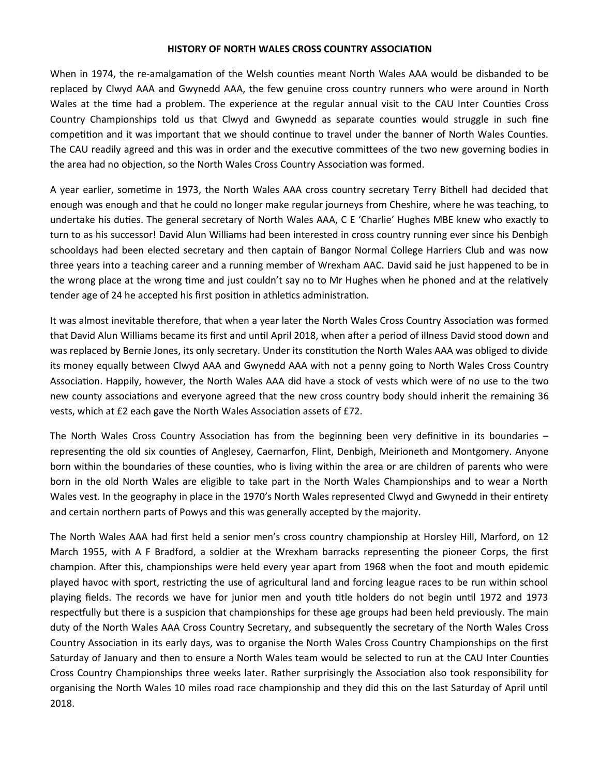## **HISTORY OF NORTH WALES CROSS COUNTRY ASSOCIATION**

When in 1974, the re-amalgamation of the Welsh counties meant North Wales AAA would be disbanded to be replaced by Clwyd AAA and Gwynedd AAA, the few genuine cross country runners who were around in North Wales at the time had a problem. The experience at the regular annual visit to the CAU Inter Counties Cross Country Championships told us that Clwyd and Gwynedd as separate counties would struggle in such fine competition and it was important that we should continue to travel under the banner of North Wales Counties. The CAU readily agreed and this was in order and the executive committees of the two new governing bodies in the area had no objection, so the North Wales Cross Country Association was formed.

A year earlier, sometime in 1973, the North Wales AAA cross country secretary Terry Bithell had decided that enough was enough and that he could no longer make regular journeys from Cheshire, where he was teaching, to undertake his duties. The general secretary of North Wales AAA, C E 'Charlie' Hughes MBE knew who exactly to turn to as his successor! David Alun Williams had been interested in cross country running ever since his Denbigh schooldays had been elected secretary and then captain of Bangor Normal College Harriers Club and was now three years into a teaching career and a running member of Wrexham AAC. David said he just happened to be in the wrong place at the wrong time and just couldn't say no to Mr Hughes when he phoned and at the relatively tender age of 24 he accepted his first position in athletics administration.

It was almost inevitable therefore, that when a year later the North Wales Cross Country Association was formed that David Alun Williams became its first and until April 2018, when after a period of illness David stood down and was replaced by Bernie Jones, its only secretary. Under its constitution the North Wales AAA was obliged to divide its money equally between Clwyd AAA and Gwynedd AAA with not a penny going to North Wales Cross Country Association. Happily, however, the North Wales AAA did have a stock of vests which were of no use to the two new county associations and everyone agreed that the new cross country body should inherit the remaining 36 vests, which at £2 each gave the North Wales Association assets of £72.

The North Wales Cross Country Association has from the beginning been very definitive in its boundaries – representing the old six counties of Anglesey, Caernarfon, Flint, Denbigh, Meirioneth and Montgomery. Anyone born within the boundaries of these counties, who is living within the area or are children of parents who were born in the old North Wales are eligible to take part in the North Wales Championships and to wear a North Wales vest. In the geography in place in the 1970's North Wales represented Clwyd and Gwynedd in their entirety and certain northern parts of Powys and this was generally accepted by the majority.

The North Wales AAA had first held a senior men's cross country championship at Horsley Hill, Marford, on 12 March 1955, with A F Bradford, a soldier at the Wrexham barracks representing the pioneer Corps, the first champion. After this, championships were held every year apart from 1968 when the foot and mouth epidemic played havoc with sport, restricting the use of agricultural land and forcing league races to be run within school playing fields. The records we have for junior men and youth title holders do not begin until 1972 and 1973 respectfully but there is a suspicion that championships for these age groups had been held previously. The main duty of the North Wales AAA Cross Country Secretary, and subsequently the secretary of the North Wales Cross Country Association in its early days, was to organise the North Wales Cross Country Championships on the first Saturday of January and then to ensure a North Wales team would be selected to run at the CAU Inter Counties Cross Country Championships three weeks later. Rather surprisingly the Association also took responsibility for organising the North Wales 10 miles road race championship and they did this on the last Saturday of April until 2018.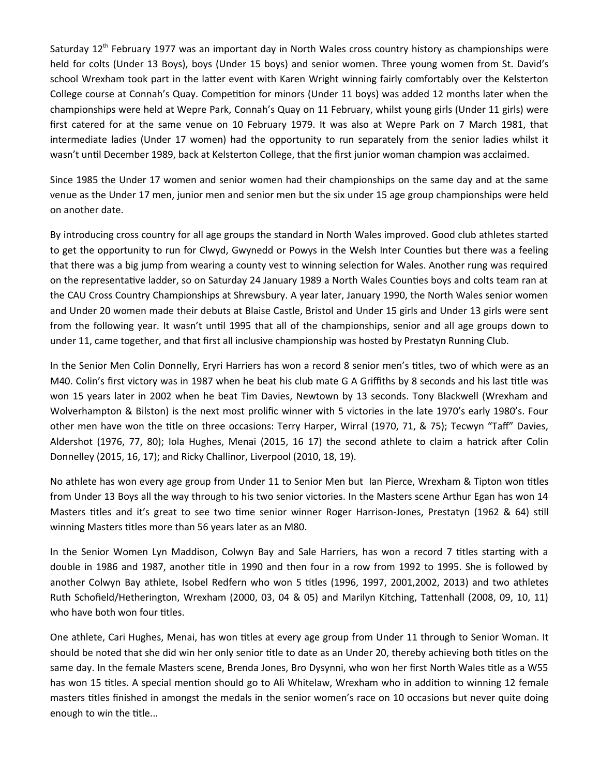Saturday 12<sup>th</sup> February 1977 was an important day in North Wales cross country history as championships were held for colts (Under 13 Boys), boys (Under 15 boys) and senior women. Three young women from St. David's school Wrexham took part in the latter event with Karen Wright winning fairly comfortably over the Kelsterton College course at Connah's Quay. Competition for minors (Under 11 boys) was added 12 months later when the championships were held at Wepre Park, Connah's Quay on 11 February, whilst young girls (Under 11 girls) were first catered for at the same venue on 10 February 1979. It was also at Wepre Park on 7 March 1981, that intermediate ladies (Under 17 women) had the opportunity to run separately from the senior ladies whilst it wasn't until December 1989, back at Kelsterton College, that the first junior woman champion was acclaimed.

Since 1985 the Under 17 women and senior women had their championships on the same day and at the same venue as the Under 17 men, junior men and senior men but the six under 15 age group championships were held on another date.

By introducing cross country for all age groups the standard in North Wales improved. Good club athletes started to get the opportunity to run for Clwyd, Gwynedd or Powys in the Welsh Inter Counties but there was a feeling that there was a big jump from wearing a county vest to winning selection for Wales. Another rung was required on the representative ladder, so on Saturday 24 January 1989 a North Wales Counties boys and colts team ran at the CAU Cross Country Championships at Shrewsbury. A year later, January 1990, the North Wales senior women and Under 20 women made their debuts at Blaise Castle, Bristol and Under 15 girls and Under 13 girls were sent from the following year. It wasn't until 1995 that all of the championships, senior and all age groups down to under 11, came together, and that first all inclusive championship was hosted by Prestatyn Running Club.

In the Senior Men Colin Donnelly, Eryri Harriers has won a record 8 senior men's titles, two of which were as an M40. Colin's first victory was in 1987 when he beat his club mate G A Griffiths by 8 seconds and his last title was won 15 years later in 2002 when he beat Tim Davies, Newtown by 13 seconds. Tony Blackwell (Wrexham and Wolverhampton & Bilston) is the next most prolific winner with 5 victories in the late 1970's early 1980's. Four other men have won the title on three occasions: Terry Harper, Wirral (1970, 71, & 75); Tecwyn "Taff" Davies, Aldershot (1976, 77, 80); Iola Hughes, Menai (2015, 16 17) the second athlete to claim a hatrick after Colin Donnelley (2015, 16, 17); and Ricky Challinor, Liverpool (2010, 18, 19).

No athlete has won every age group from Under 11 to Senior Men but Ian Pierce, Wrexham & Tipton won titles from Under 13 Boys all the way through to his two senior victories. In the Masters scene Arthur Egan has won 14 Masters titles and it's great to see two time senior winner Roger Harrison-Jones, Prestatyn (1962 & 64) still winning Masters titles more than 56 years later as an M80.

In the Senior Women Lyn Maddison, Colwyn Bay and Sale Harriers, has won a record 7 titles starting with a double in 1986 and 1987, another title in 1990 and then four in a row from 1992 to 1995. She is followed by another Colwyn Bay athlete, Isobel Redfern who won 5 titles (1996, 1997, 2001,2002, 2013) and two athletes Ruth Schofield/Hetherington, Wrexham (2000, 03, 04 & 05) and Marilyn Kitching, Tattenhall (2008, 09, 10, 11) who have both won four titles.

One athlete, Cari Hughes, Menai, has won titles at every age group from Under 11 through to Senior Woman. It should be noted that she did win her only senior title to date as an Under 20, thereby achieving both titles on the same day. In the female Masters scene, Brenda Jones, Bro Dysynni, who won her first North Wales title as a W55 has won 15 titles. A special mention should go to Ali Whitelaw, Wrexham who in addition to winning 12 female masters titles finished in amongst the medals in the senior women's race on 10 occasions but never quite doing enough to win the title...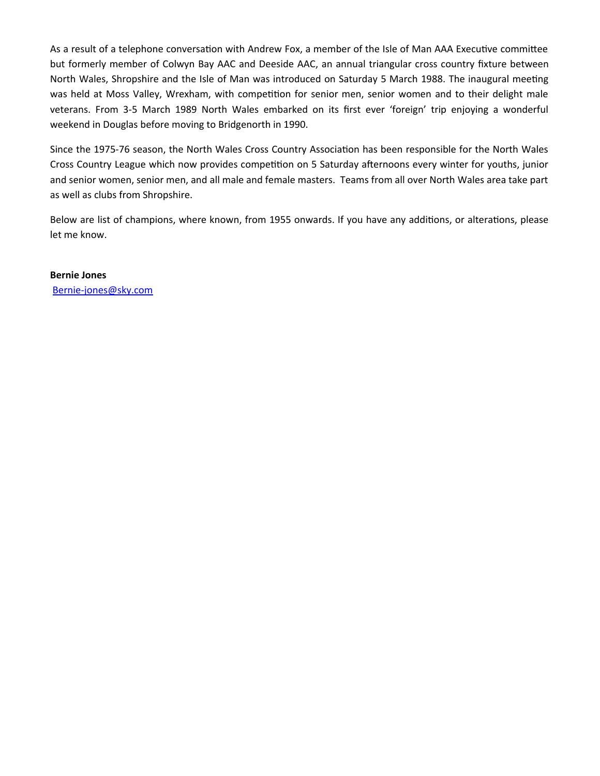As a result of a telephone conversation with Andrew Fox, a member of the Isle of Man AAA Executive committee but formerly member of Colwyn Bay AAC and Deeside AAC, an annual triangular cross country fixture between North Wales, Shropshire and the Isle of Man was introduced on Saturday 5 March 1988. The inaugural meeting was held at Moss Valley, Wrexham, with competition for senior men, senior women and to their delight male veterans. From 3-5 March 1989 North Wales embarked on its first ever 'foreign' trip enjoying a wonderful weekend in Douglas before moving to Bridgenorth in 1990.

Since the 1975-76 season, the North Wales Cross Country Association has been responsible for the North Wales Cross Country League which now provides competition on 5 Saturday afternoons every winter for youths, junior and senior women, senior men, and all male and female masters. Teams from all over North Wales area take part as well as clubs from Shropshire.

Below are list of champions, where known, from 1955 onwards. If you have any additions, or alterations, please let me know.

**Bernie Jones** [Bernie-jones@sky.com](mailto:Bernie-jones@sky.com)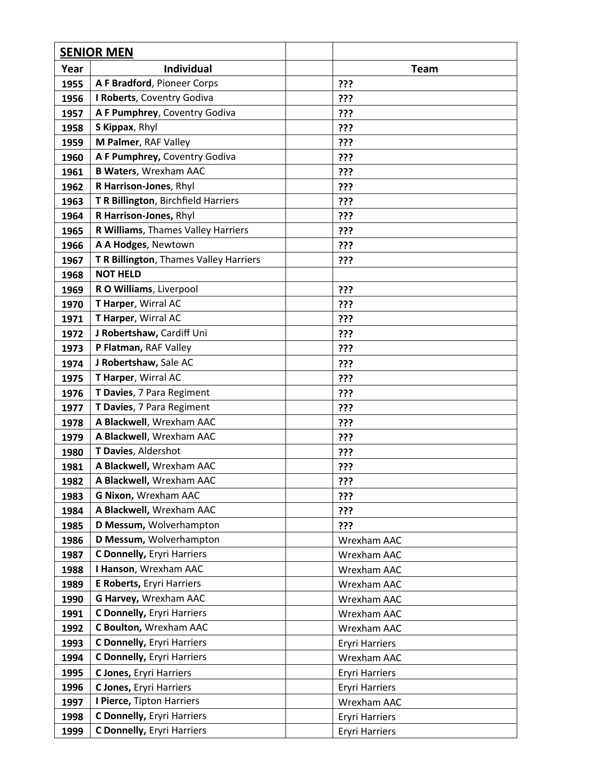|      | <b>SENIOR MEN</b>                      |                       |
|------|----------------------------------------|-----------------------|
| Year | <b>Individual</b>                      | <b>Team</b>           |
| 1955 | A F Bradford, Pioneer Corps            | ???                   |
| 1956 | I Roberts, Coventry Godiva             | ???                   |
| 1957 | A F Pumphrey, Coventry Godiva          | ???                   |
| 1958 | S Kippax, Rhyl                         | ???                   |
| 1959 | M Palmer, RAF Valley                   | ???                   |
| 1960 | A F Pumphrey, Coventry Godiva          | ???                   |
| 1961 | <b>B Waters, Wrexham AAC</b>           | ???                   |
| 1962 | R Harrison-Jones, Rhyl                 | ???                   |
| 1963 | T R Billington, Birchfield Harriers    | ???                   |
| 1964 | R Harrison-Jones, Rhyl                 | ???                   |
| 1965 | R Williams, Thames Valley Harriers     | ???                   |
| 1966 | A A Hodges, Newtown                    | ???                   |
| 1967 | T R Billington, Thames Valley Harriers | ???                   |
| 1968 | <b>NOT HELD</b>                        |                       |
| 1969 | R O Williams, Liverpool                | ???                   |
| 1970 | T Harper, Wirral AC                    | ???                   |
| 1971 | T Harper, Wirral AC                    | ???                   |
| 1972 | J Robertshaw, Cardiff Uni              | ???                   |
| 1973 | P Flatman, RAF Valley                  | ???                   |
| 1974 | J Robertshaw, Sale AC                  | ???                   |
| 1975 | T Harper, Wirral AC                    | ???                   |
| 1976 | T Davies, 7 Para Regiment              | ???                   |
| 1977 | T Davies, 7 Para Regiment              | ???                   |
| 1978 | A Blackwell, Wrexham AAC               | ???                   |
| 1979 | A Blackwell, Wrexham AAC               | ???                   |
| 1980 | T Davies, Aldershot                    | ???                   |
| 1981 | A Blackwell, Wrexham AAC               | ???                   |
| 1982 | A Blackwell, Wrexham AAC               | ???                   |
| 1983 | G Nixon, Wrexham AAC                   | ???                   |
| 1984 | A Blackwell, Wrexham AAC               | ???                   |
| 1985 | D Messum, Wolverhampton                | ???                   |
| 1986 | D Messum, Wolverhampton                | Wrexham AAC           |
| 1987 | <b>C Donnelly, Eryri Harriers</b>      | Wrexham AAC           |
| 1988 | I Hanson, Wrexham AAC                  | Wrexham AAC           |
| 1989 | <b>E Roberts, Eryri Harriers</b>       | Wrexham AAC           |
| 1990 | G Harvey, Wrexham AAC                  | Wrexham AAC           |
| 1991 | C Donnelly, Eryri Harriers             | Wrexham AAC           |
| 1992 | C Boulton, Wrexham AAC                 | Wrexham AAC           |
| 1993 | C Donnelly, Eryri Harriers             | <b>Eryri Harriers</b> |
| 1994 | C Donnelly, Eryri Harriers             | Wrexham AAC           |
| 1995 | C Jones, Eryri Harriers                | <b>Eryri Harriers</b> |
| 1996 | C Jones, Eryri Harriers                | <b>Eryri Harriers</b> |
| 1997 | I Pierce, Tipton Harriers              | Wrexham AAC           |
| 1998 | C Donnelly, Eryri Harriers             | <b>Eryri Harriers</b> |
| 1999 | C Donnelly, Eryri Harriers             | <b>Eryri Harriers</b> |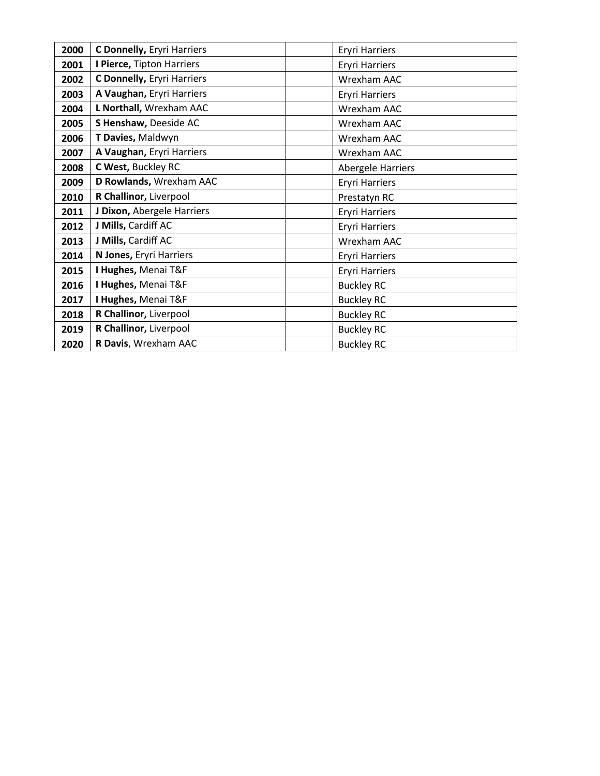| 2000 | C Donnelly, Eryri Harriers | <b>Eryri Harriers</b> |
|------|----------------------------|-----------------------|
| 2001 | I Pierce, Tipton Harriers  | <b>Eryri Harriers</b> |
| 2002 | C Donnelly, Eryri Harriers | Wrexham AAC           |
| 2003 | A Vaughan, Eryri Harriers  | <b>Eryri Harriers</b> |
| 2004 | L Northall, Wrexham AAC    | Wrexham AAC           |
| 2005 | S Henshaw, Deeside AC      | Wrexham AAC           |
| 2006 | T Davies, Maldwyn          | Wrexham AAC           |
| 2007 | A Vaughan, Eryri Harriers  | Wrexham AAC           |
| 2008 | C West, Buckley RC         | Abergele Harriers     |
| 2009 | D Rowlands, Wrexham AAC    | <b>Eryri Harriers</b> |
| 2010 | R Challinor, Liverpool     | Prestatyn RC          |
| 2011 | J Dixon, Abergele Harriers | <b>Eryri Harriers</b> |
| 2012 | J Mills, Cardiff AC        | <b>Eryri Harriers</b> |
| 2013 | J Mills, Cardiff AC        | Wrexham AAC           |
| 2014 | N Jones, Eryri Harriers    | <b>Eryri Harriers</b> |
| 2015 | I Hughes, Menai T&F        | <b>Eryri Harriers</b> |
| 2016 | I Hughes, Menai T&F        | <b>Buckley RC</b>     |
| 2017 | I Hughes, Menai T&F        | <b>Buckley RC</b>     |
| 2018 | R Challinor, Liverpool     | <b>Buckley RC</b>     |
| 2019 | R Challinor, Liverpool     | <b>Buckley RC</b>     |
| 2020 | R Davis, Wrexham AAC       | <b>Buckley RC</b>     |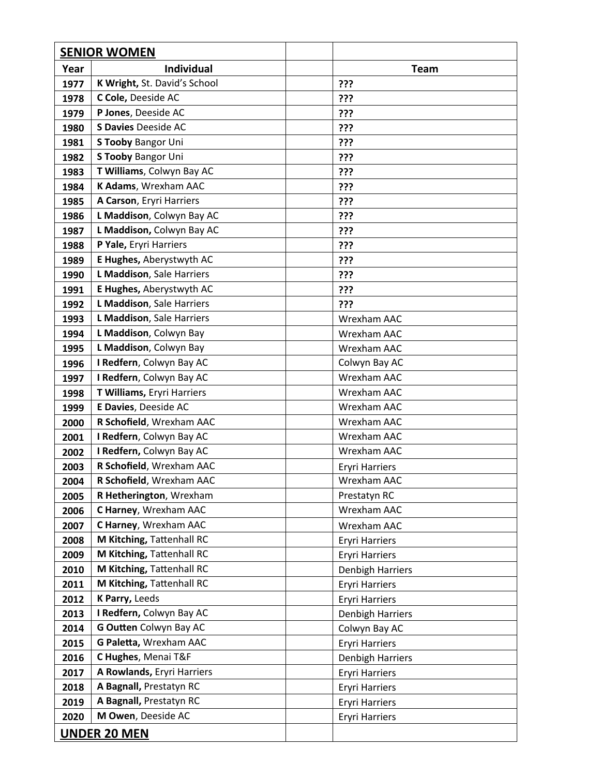|      | <b>SENIOR WOMEN</b>          |                       |
|------|------------------------------|-----------------------|
| Year | <b>Individual</b>            | <b>Team</b>           |
| 1977 | K Wright, St. David's School | ???                   |
| 1978 | C Cole, Deeside AC           | ???                   |
| 1979 | P Jones, Deeside AC          | ???                   |
| 1980 | <b>S Davies Deeside AC</b>   | ???                   |
| 1981 | <b>S Tooby Bangor Uni</b>    | ???                   |
| 1982 | <b>S Tooby Bangor Uni</b>    | ???                   |
| 1983 | T Williams, Colwyn Bay AC    | ???                   |
| 1984 | K Adams, Wrexham AAC         | ???                   |
| 1985 | A Carson, Eryri Harriers     | ???                   |
| 1986 | L Maddison, Colwyn Bay AC    | ???                   |
| 1987 | L Maddison, Colwyn Bay AC    | ???                   |
| 1988 | P Yale, Eryri Harriers       | ???                   |
| 1989 | E Hughes, Aberystwyth AC     | ???                   |
| 1990 | L Maddison, Sale Harriers    | ???                   |
| 1991 | E Hughes, Aberystwyth AC     | ???                   |
| 1992 | L Maddison, Sale Harriers    | ???                   |
| 1993 | L Maddison, Sale Harriers    | Wrexham AAC           |
| 1994 | L Maddison, Colwyn Bay       | Wrexham AAC           |
| 1995 | L Maddison, Colwyn Bay       | Wrexham AAC           |
| 1996 | I Redfern, Colwyn Bay AC     | Colwyn Bay AC         |
| 1997 | I Redfern, Colwyn Bay AC     | Wrexham AAC           |
| 1998 | T Williams, Eryri Harriers   | Wrexham AAC           |
| 1999 | E Davies, Deeside AC         | Wrexham AAC           |
| 2000 | R Schofield, Wrexham AAC     | Wrexham AAC           |
| 2001 | I Redfern, Colwyn Bay AC     | Wrexham AAC           |
| 2002 | I Redfern, Colwyn Bay AC     | Wrexham AAC           |
| 2003 | R Schofield, Wrexham AAC     | <b>Eryri Harriers</b> |
| 2004 | R Schofield, Wrexham AAC     | Wrexham AAC           |
| 2005 | R Hetherington, Wrexham      | Prestatyn RC          |
| 2006 | C Harney, Wrexham AAC        | Wrexham AAC           |
| 2007 | C Harney, Wrexham AAC        | Wrexham AAC           |
| 2008 | M Kitching, Tattenhall RC    | <b>Eryri Harriers</b> |
| 2009 | M Kitching, Tattenhall RC    | <b>Eryri Harriers</b> |
| 2010 | M Kitching, Tattenhall RC    | Denbigh Harriers      |
| 2011 | M Kitching, Tattenhall RC    | <b>Eryri Harriers</b> |
| 2012 | K Parry, Leeds               | <b>Eryri Harriers</b> |
| 2013 | I Redfern, Colwyn Bay AC     | Denbigh Harriers      |
| 2014 | G Outten Colwyn Bay AC       | Colwyn Bay AC         |
| 2015 | G Paletta, Wrexham AAC       | <b>Eryri Harriers</b> |
| 2016 | C Hughes, Menai T&F          | Denbigh Harriers      |
| 2017 | A Rowlands, Eryri Harriers   | <b>Eryri Harriers</b> |
| 2018 | A Bagnall, Prestatyn RC      | <b>Eryri Harriers</b> |
| 2019 | A Bagnall, Prestatyn RC      | <b>Eryri Harriers</b> |
| 2020 | M Owen, Deeside AC           | <b>Eryri Harriers</b> |
|      | <b>UNDER 20 MEN</b>          |                       |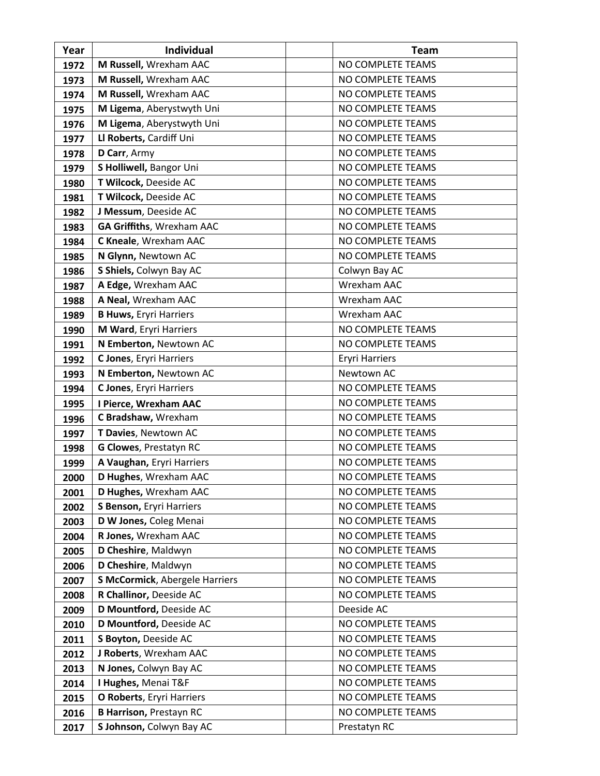| Year | <b>Individual</b>                     | <b>Team</b>           |
|------|---------------------------------------|-----------------------|
| 1972 | M Russell, Wrexham AAC                | NO COMPLETE TEAMS     |
| 1973 | M Russell, Wrexham AAC                | NO COMPLETE TEAMS     |
| 1974 | M Russell, Wrexham AAC                | NO COMPLETE TEAMS     |
| 1975 | M Ligema, Aberystwyth Uni             | NO COMPLETE TEAMS     |
| 1976 | M Ligema, Aberystwyth Uni             | NO COMPLETE TEAMS     |
| 1977 | Ll Roberts, Cardiff Uni               | NO COMPLETE TEAMS     |
| 1978 | D Carr, Army                          | NO COMPLETE TEAMS     |
| 1979 | S Holliwell, Bangor Uni               | NO COMPLETE TEAMS     |
| 1980 | T Wilcock, Deeside AC                 | NO COMPLETE TEAMS     |
| 1981 | T Wilcock, Deeside AC                 | NO COMPLETE TEAMS     |
| 1982 | J Messum, Deeside AC                  | NO COMPLETE TEAMS     |
| 1983 | <b>GA Griffiths, Wrexham AAC</b>      | NO COMPLETE TEAMS     |
| 1984 | C Kneale, Wrexham AAC                 | NO COMPLETE TEAMS     |
| 1985 | N Glynn, Newtown AC                   | NO COMPLETE TEAMS     |
| 1986 | S Shiels, Colwyn Bay AC               | Colwyn Bay AC         |
| 1987 | A Edge, Wrexham AAC                   | Wrexham AAC           |
| 1988 | A Neal, Wrexham AAC                   | Wrexham AAC           |
| 1989 | <b>B Huws, Eryri Harriers</b>         | Wrexham AAC           |
| 1990 | M Ward, Eryri Harriers                | NO COMPLETE TEAMS     |
| 1991 | N Emberton, Newtown AC                | NO COMPLETE TEAMS     |
| 1992 | C Jones, Eryri Harriers               | <b>Eryri Harriers</b> |
| 1993 | N Emberton, Newtown AC                | Newtown AC            |
| 1994 | C Jones, Eryri Harriers               | NO COMPLETE TEAMS     |
| 1995 | I Pierce, Wrexham AAC                 | NO COMPLETE TEAMS     |
| 1996 | C Bradshaw, Wrexham                   | NO COMPLETE TEAMS     |
| 1997 | T Davies, Newtown AC                  | NO COMPLETE TEAMS     |
| 1998 | <b>G Clowes, Prestatyn RC</b>         | NO COMPLETE TEAMS     |
| 1999 | A Vaughan, Eryri Harriers             | NO COMPLETE TEAMS     |
| 2000 | D Hughes, Wrexham AAC                 | NO COMPLETE TEAMS     |
| 2001 | D Hughes, Wrexham AAC                 | NO COMPLETE TEAMS     |
| 2002 | S Benson, Eryri Harriers              | NO COMPLETE TEAMS     |
| 2003 | D W Jones, Coleg Menai                | NO COMPLETE TEAMS     |
| 2004 | R Jones, Wrexham AAC                  | NO COMPLETE TEAMS     |
| 2005 | D Cheshire, Maldwyn                   | NO COMPLETE TEAMS     |
| 2006 | D Cheshire, Maldwyn                   | NO COMPLETE TEAMS     |
| 2007 | <b>S McCormick, Abergele Harriers</b> | NO COMPLETE TEAMS     |
| 2008 | R Challinor, Deeside AC               | NO COMPLETE TEAMS     |
| 2009 | D Mountford, Deeside AC               | Deeside AC            |
| 2010 | D Mountford, Deeside AC               | NO COMPLETE TEAMS     |
| 2011 | S Boyton, Deeside AC                  | NO COMPLETE TEAMS     |
| 2012 | J Roberts, Wrexham AAC                | NO COMPLETE TEAMS     |
| 2013 | N Jones, Colwyn Bay AC                | NO COMPLETE TEAMS     |
| 2014 | I Hughes, Menai T&F                   | NO COMPLETE TEAMS     |
| 2015 | O Roberts, Eryri Harriers             | NO COMPLETE TEAMS     |
| 2016 | <b>B Harrison, Prestayn RC</b>        | NO COMPLETE TEAMS     |
| 2017 | S Johnson, Colwyn Bay AC              | Prestatyn RC          |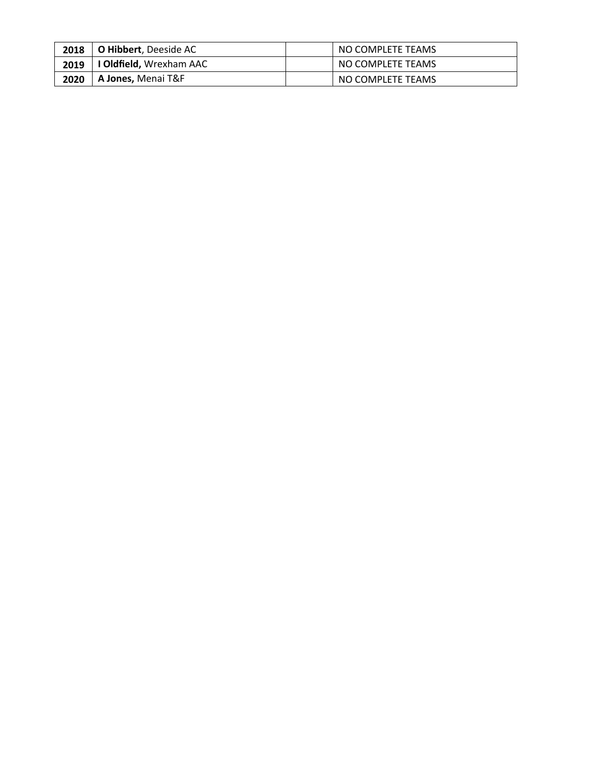| 2018 | <b>O Hibbert</b> , Deeside AC  | NO COMPLETE TEAMS |
|------|--------------------------------|-------------------|
| 2019 | <b>I Oldfield,</b> Wrexham AAC | NO COMPLETE TEAMS |
| 2020 | A Jones, Menai T&F             | NO COMPLETE TEAMS |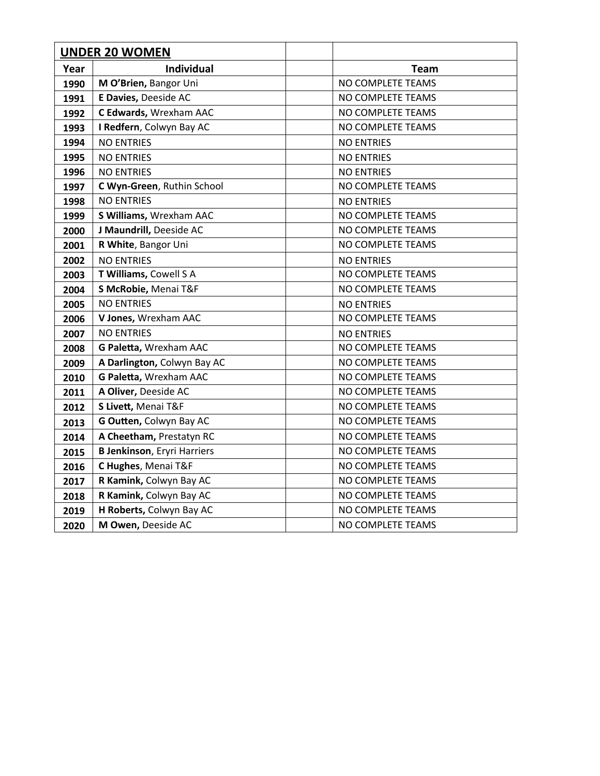| <b>UNDER 20 WOMEN</b> |                                     |                   |
|-----------------------|-------------------------------------|-------------------|
| Year                  | <b>Individual</b>                   | <b>Team</b>       |
| 1990                  | M O'Brien, Bangor Uni               | NO COMPLETE TEAMS |
| 1991                  | E Davies, Deeside AC                | NO COMPLETE TEAMS |
| 1992                  | C Edwards, Wrexham AAC              | NO COMPLETE TEAMS |
| 1993                  | I Redfern, Colwyn Bay AC            | NO COMPLETE TEAMS |
| 1994                  | <b>NO ENTRIES</b>                   | <b>NO ENTRIES</b> |
| 1995                  | <b>NO ENTRIES</b>                   | <b>NO ENTRIES</b> |
| 1996                  | <b>NO ENTRIES</b>                   | <b>NO ENTRIES</b> |
| 1997                  | C Wyn-Green, Ruthin School          | NO COMPLETE TEAMS |
| 1998                  | <b>NO ENTRIES</b>                   | <b>NO ENTRIES</b> |
| 1999                  | S Williams, Wrexham AAC             | NO COMPLETE TEAMS |
| 2000                  | J Maundrill, Deeside AC             | NO COMPLETE TEAMS |
| 2001                  | R White, Bangor Uni                 | NO COMPLETE TEAMS |
| 2002                  | <b>NO ENTRIES</b>                   | <b>NO ENTRIES</b> |
| 2003                  | T Williams, Cowell S A              | NO COMPLETE TEAMS |
| 2004                  | S McRobie, Menai T&F                | NO COMPLETE TEAMS |
| 2005                  | <b>NO ENTRIES</b>                   | <b>NO ENTRIES</b> |
| 2006                  | V Jones, Wrexham AAC                | NO COMPLETE TEAMS |
| 2007                  | <b>NO ENTRIES</b>                   | <b>NO ENTRIES</b> |
| 2008                  | G Paletta, Wrexham AAC              | NO COMPLETE TEAMS |
| 2009                  | A Darlington, Colwyn Bay AC         | NO COMPLETE TEAMS |
| 2010                  | G Paletta, Wrexham AAC              | NO COMPLETE TEAMS |
| 2011                  | A Oliver, Deeside AC                | NO COMPLETE TEAMS |
| 2012                  | S Livett, Menai T&F                 | NO COMPLETE TEAMS |
| 2013                  | G Outten, Colwyn Bay AC             | NO COMPLETE TEAMS |
| 2014                  | A Cheetham, Prestatyn RC            | NO COMPLETE TEAMS |
| 2015                  | <b>B Jenkinson</b> , Eryri Harriers | NO COMPLETE TEAMS |
| 2016                  | C Hughes, Menai T&F                 | NO COMPLETE TEAMS |
| 2017                  | R Kamink, Colwyn Bay AC             | NO COMPLETE TEAMS |
| 2018                  | R Kamink, Colwyn Bay AC             | NO COMPLETE TEAMS |
| 2019                  | H Roberts, Colwyn Bay AC            | NO COMPLETE TEAMS |
| 2020                  | M Owen, Deeside AC                  | NO COMPLETE TEAMS |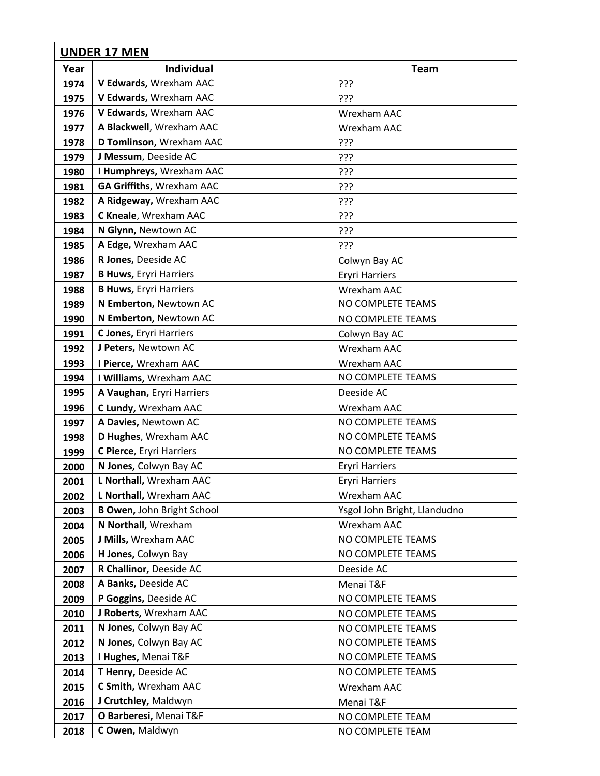|      | <b>UNDER 17 MEN</b>               |                              |
|------|-----------------------------------|------------------------------|
| Year | <b>Individual</b>                 | <b>Team</b>                  |
| 1974 | V Edwards, Wrexham AAC            | ???                          |
| 1975 | V Edwards, Wrexham AAC            | ???                          |
| 1976 | V Edwards, Wrexham AAC            | Wrexham AAC                  |
| 1977 | A Blackwell, Wrexham AAC          | Wrexham AAC                  |
| 1978 | D Tomlinson, Wrexham AAC          | ???                          |
| 1979 | J Messum, Deeside AC              | ???                          |
| 1980 | I Humphreys, Wrexham AAC          | ???                          |
| 1981 | <b>GA Griffiths, Wrexham AAC</b>  | ???                          |
| 1982 | A Ridgeway, Wrexham AAC           | ???                          |
| 1983 | C Kneale, Wrexham AAC             | ???                          |
| 1984 | N Glynn, Newtown AC               | ???                          |
| 1985 | A Edge, Wrexham AAC               | ???                          |
| 1986 | R Jones, Deeside AC               | Colwyn Bay AC                |
| 1987 | <b>B Huws, Eryri Harriers</b>     | <b>Eryri Harriers</b>        |
| 1988 | <b>B Huws, Eryri Harriers</b>     | Wrexham AAC                  |
| 1989 | N Emberton, Newtown AC            | NO COMPLETE TEAMS            |
| 1990 | N Emberton, Newtown AC            | NO COMPLETE TEAMS            |
| 1991 | C Jones, Eryri Harriers           | Colwyn Bay AC                |
| 1992 | J Peters, Newtown AC              | Wrexham AAC                  |
| 1993 | I Pierce, Wrexham AAC             | Wrexham AAC                  |
| 1994 | I Williams, Wrexham AAC           | NO COMPLETE TEAMS            |
| 1995 | A Vaughan, Eryri Harriers         | Deeside AC                   |
| 1996 | C Lundy, Wrexham AAC              | Wrexham AAC                  |
| 1997 | A Davies, Newtown AC              | NO COMPLETE TEAMS            |
| 1998 | D Hughes, Wrexham AAC             | NO COMPLETE TEAMS            |
| 1999 | C Pierce, Eryri Harriers          | NO COMPLETE TEAMS            |
| 2000 | N Jones, Colwyn Bay AC            | <b>Eryri Harriers</b>        |
| 2001 | L Northall, Wrexham AAC           | <b>Eryri Harriers</b>        |
| 2002 | L Northall, Wrexham AAC           | Wrexham AAC                  |
| 2003 | <b>B Owen, John Bright School</b> | Ysgol John Bright, Llandudno |
| 2004 | N Northall, Wrexham               | Wrexham AAC                  |
| 2005 | J Mills, Wrexham AAC              | NO COMPLETE TEAMS            |
| 2006 | H Jones, Colwyn Bay               | NO COMPLETE TEAMS            |
| 2007 | R Challinor, Deeside AC           | Deeside AC                   |
| 2008 | A Banks, Deeside AC               | Menai T&F                    |
| 2009 | P Goggins, Deeside AC             | NO COMPLETE TEAMS            |
| 2010 | J Roberts, Wrexham AAC            | NO COMPLETE TEAMS            |
| 2011 | N Jones, Colwyn Bay AC            | NO COMPLETE TEAMS            |
| 2012 | N Jones, Colwyn Bay AC            | NO COMPLETE TEAMS            |
| 2013 | I Hughes, Menai T&F               | NO COMPLETE TEAMS            |
| 2014 | T Henry, Deeside AC               | NO COMPLETE TEAMS            |
| 2015 | C Smith, Wrexham AAC              | Wrexham AAC                  |
| 2016 | J Crutchley, Maldwyn              | Menai T&F                    |
| 2017 | O Barberesi, Menai T&F            | NO COMPLETE TEAM             |
| 2018 | C Owen, Maldwyn                   | NO COMPLETE TEAM             |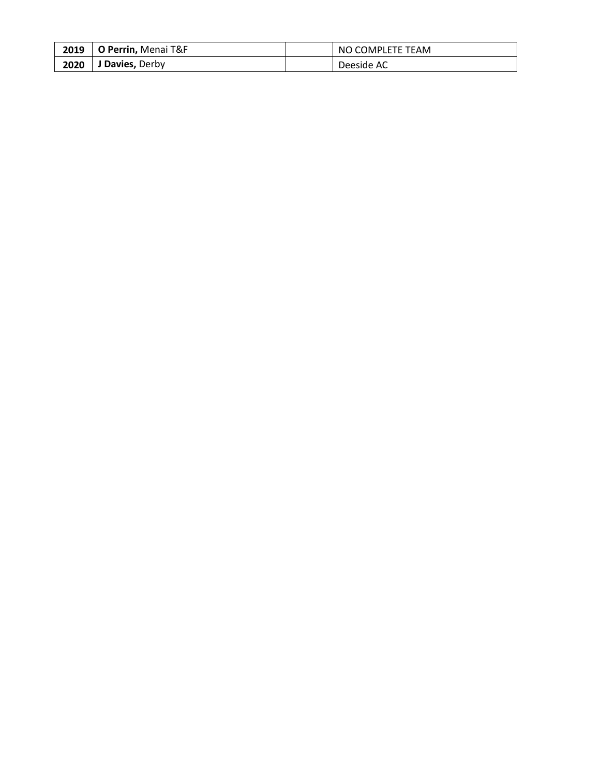| 2019 | O Perrin, Menai T&F | NO COMPLETE TEAM |
|------|---------------------|------------------|
| 2020 | J Davies, Derby     | Deeside AC       |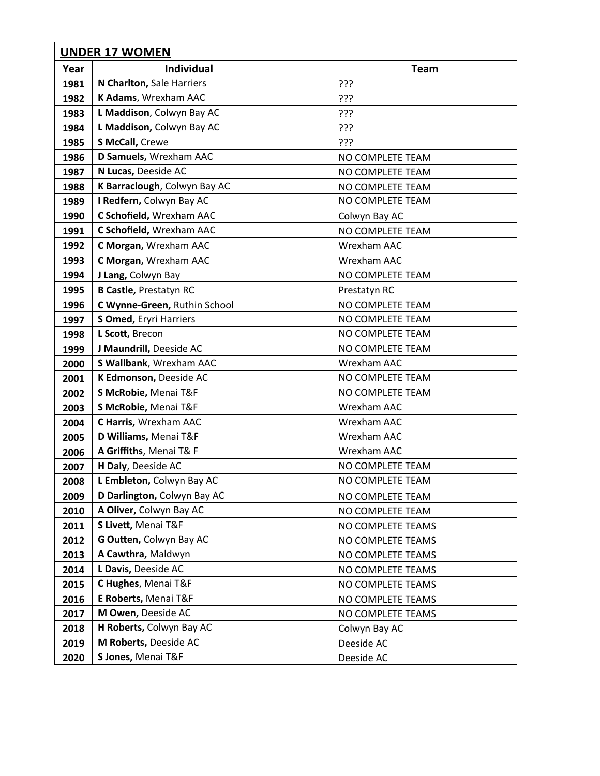| <b>UNDER 17 WOMEN</b> |                               |                   |
|-----------------------|-------------------------------|-------------------|
| Year                  | <b>Individual</b>             | <b>Team</b>       |
| 1981                  | N Charlton, Sale Harriers     | ???               |
| 1982                  | K Adams, Wrexham AAC          | ???               |
| 1983                  | L Maddison, Colwyn Bay AC     | ???               |
| 1984                  | L Maddison, Colwyn Bay AC     | ???               |
| 1985                  | S McCall, Crewe               | ???               |
| 1986                  | D Samuels, Wrexham AAC        | NO COMPLETE TEAM  |
| 1987                  | N Lucas, Deeside AC           | NO COMPLETE TEAM  |
| 1988                  | K Barraclough, Colwyn Bay AC  | NO COMPLETE TEAM  |
| 1989                  | I Redfern, Colwyn Bay AC      | NO COMPLETE TEAM  |
| 1990                  | C Schofield, Wrexham AAC      | Colwyn Bay AC     |
| 1991                  | C Schofield, Wrexham AAC      | NO COMPLETE TEAM  |
| 1992                  | C Morgan, Wrexham AAC         | Wrexham AAC       |
| 1993                  | C Morgan, Wrexham AAC         | Wrexham AAC       |
| 1994                  | J Lang, Colwyn Bay            | NO COMPLETE TEAM  |
| 1995                  | <b>B Castle, Prestatyn RC</b> | Prestatyn RC      |
| 1996                  | C Wynne-Green, Ruthin School  | NO COMPLETE TEAM  |
| 1997                  | S Omed, Eryri Harriers        | NO COMPLETE TEAM  |
| 1998                  | L Scott, Brecon               | NO COMPLETE TEAM  |
| 1999                  | J Maundrill, Deeside AC       | NO COMPLETE TEAM  |
| 2000                  | S Wallbank, Wrexham AAC       | Wrexham AAC       |
| 2001                  | K Edmonson, Deeside AC        | NO COMPLETE TEAM  |
| 2002                  | S McRobie, Menai T&F          | NO COMPLETE TEAM  |
| 2003                  | S McRobie, Menai T&F          | Wrexham AAC       |
| 2004                  | C Harris, Wrexham AAC         | Wrexham AAC       |
| 2005                  | D Williams, Menai T&F         | Wrexham AAC       |
| 2006                  | A Griffiths, Menai T& F       | Wrexham AAC       |
| 2007                  | H Daly, Deeside AC            | NO COMPLETE TEAM  |
| 2008                  | L Embleton, Colwyn Bay AC     | NO COMPLETE TEAM  |
| 2009                  | D Darlington, Colwyn Bay AC   | NO COMPLETE TEAM  |
| 2010                  | A Oliver, Colwyn Bay AC       | NO COMPLETE TEAM  |
| 2011                  | S Livett, Menai T&F           | NO COMPLETE TEAMS |
| 2012                  | G Outten, Colwyn Bay AC       | NO COMPLETE TEAMS |
| 2013                  | A Cawthra, Maldwyn            | NO COMPLETE TEAMS |
| 2014                  | L Davis, Deeside AC           | NO COMPLETE TEAMS |
| 2015                  | C Hughes, Menai T&F           | NO COMPLETE TEAMS |
| 2016                  | E Roberts, Menai T&F          | NO COMPLETE TEAMS |
| 2017                  | M Owen, Deeside AC            | NO COMPLETE TEAMS |
| 2018                  | H Roberts, Colwyn Bay AC      | Colwyn Bay AC     |
| 2019                  | M Roberts, Deeside AC         | Deeside AC        |
| 2020                  | S Jones, Menai T&F            | Deeside AC        |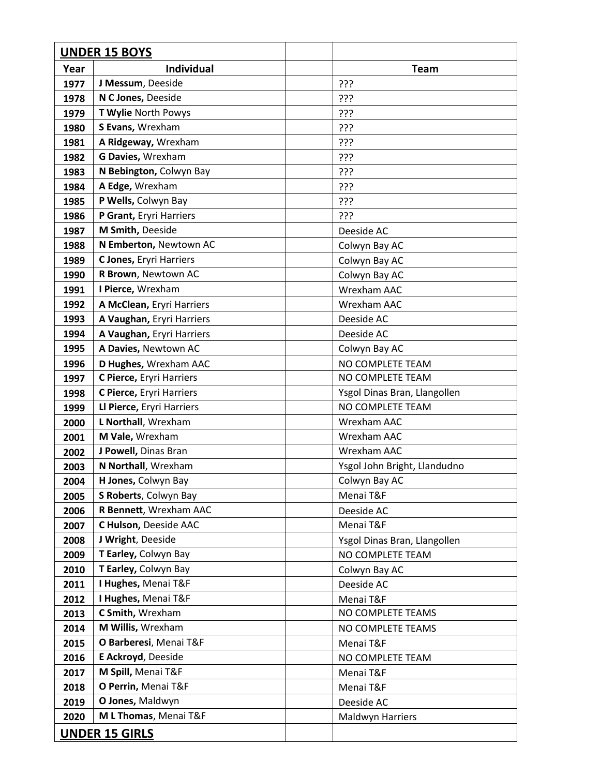|              | <b>UNDER 15 BOYS</b>                            |                                                  |
|--------------|-------------------------------------------------|--------------------------------------------------|
| Year         | <b>Individual</b>                               | Team                                             |
| 1977         | J Messum, Deeside                               | ???                                              |
| 1978         | N C Jones, Deeside                              | ???                                              |
| 1979         | T Wylie North Powys                             | ???                                              |
| 1980         | S Evans, Wrexham                                | ???                                              |
| 1981         | A Ridgeway, Wrexham                             | ???                                              |
| 1982         | G Davies, Wrexham                               | ???                                              |
| 1983         | N Bebington, Colwyn Bay                         | ???                                              |
| 1984         | A Edge, Wrexham                                 | ???                                              |
| 1985         | P Wells, Colwyn Bay                             | ???                                              |
| 1986         | P Grant, Eryri Harriers                         | ???                                              |
| 1987         | M Smith, Deeside                                | Deeside AC                                       |
| 1988         | N Emberton, Newtown AC                          | Colwyn Bay AC                                    |
| 1989         | C Jones, Eryri Harriers                         | Colwyn Bay AC                                    |
| 1990         | R Brown, Newtown AC                             | Colwyn Bay AC                                    |
| 1991         | I Pierce, Wrexham                               | Wrexham AAC                                      |
| 1992         | A McClean, Eryri Harriers                       | Wrexham AAC                                      |
| 1993         | A Vaughan, Eryri Harriers                       | Deeside AC                                       |
| 1994         | A Vaughan, Eryri Harriers                       | Deeside AC                                       |
| 1995         | A Davies, Newtown AC                            | Colwyn Bay AC                                    |
| 1996         | D Hughes, Wrexham AAC                           | NO COMPLETE TEAM                                 |
| 1997         | C Pierce, Eryri Harriers                        | NO COMPLETE TEAM                                 |
| 1998         | C Pierce, Eryri Harriers                        | Ysgol Dinas Bran, Llangollen                     |
| 1999         | Ll Pierce, Eryri Harriers                       | NO COMPLETE TEAM                                 |
| 2000         | L Northall, Wrexham                             | Wrexham AAC                                      |
| 2001         | M Vale, Wrexham                                 | Wrexham AAC                                      |
| 2002         | J Powell, Dinas Bran                            | <b>Wrexham AAC</b>                               |
| 2003         | N Northall, Wrexham                             | Ysgol John Bright, Llandudno                     |
| 2004         | H Jones, Colwyn Bay                             | Colwyn Bay AC                                    |
| 2005         | S Roberts, Colwyn Bay<br>R Bennett, Wrexham AAC | Menai T&F                                        |
| 2006         | C Hulson, Deeside AAC                           | Deeside AC<br>Menai T&F                          |
| 2007<br>2008 | J Wright, Deeside                               |                                                  |
| 2009         | T Earley, Colwyn Bay                            | Ysgol Dinas Bran, Llangollen<br>NO COMPLETE TEAM |
| 2010         | T Earley, Colwyn Bay                            | Colwyn Bay AC                                    |
| 2011         | I Hughes, Menai T&F                             | Deeside AC                                       |
| 2012         | I Hughes, Menai T&F                             | Menai T&F                                        |
| 2013         | C Smith, Wrexham                                | NO COMPLETE TEAMS                                |
| 2014         | M Willis, Wrexham                               | NO COMPLETE TEAMS                                |
| 2015         | O Barberesi, Menai T&F                          | Menai T&F                                        |
| 2016         | E Ackroyd, Deeside                              | NO COMPLETE TEAM                                 |
| 2017         | M Spill, Menai T&F                              | Menai T&F                                        |
| 2018         | O Perrin, Menai T&F                             | Menai T&F                                        |
| 2019         | O Jones, Maldwyn                                | Deeside AC                                       |
| 2020         | M L Thomas, Menai T&F                           | Maldwyn Harriers                                 |
|              | <b>UNDER 15 GIRLS</b>                           |                                                  |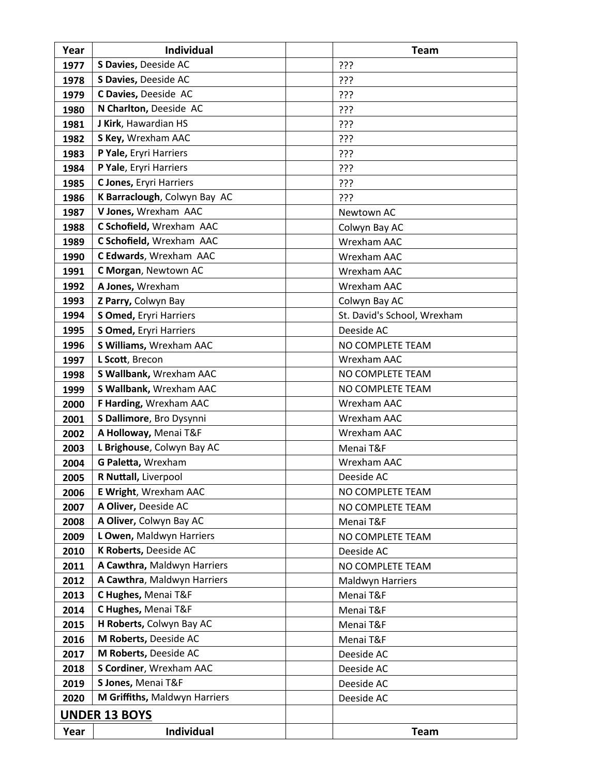| Year                 | <b>Individual</b>             | <b>Team</b>                 |
|----------------------|-------------------------------|-----------------------------|
| 1977                 | S Davies, Deeside AC          | ???                         |
| 1978                 | S Davies, Deeside AC          | ???                         |
| 1979                 | C Davies, Deeside AC          | ???                         |
| 1980                 | N Charlton, Deeside AC        | ???                         |
| 1981                 | J Kirk, Hawardian HS          | ???                         |
| 1982                 | S Key, Wrexham AAC            | ???                         |
| 1983                 | P Yale, Eryri Harriers        | ???                         |
| 1984                 | P Yale, Eryri Harriers        | ???                         |
| 1985                 | C Jones, Eryri Harriers       | ???                         |
| 1986                 | K Barraclough, Colwyn Bay AC  | ???                         |
| 1987                 | V Jones, Wrexham AAC          | Newtown AC                  |
| 1988                 | C Schofield, Wrexham AAC      | Colwyn Bay AC               |
| 1989                 | C Schofield, Wrexham AAC      | Wrexham AAC                 |
| 1990                 | C Edwards, Wrexham AAC        | Wrexham AAC                 |
| 1991                 | C Morgan, Newtown AC          | Wrexham AAC                 |
| 1992                 | A Jones, Wrexham              | Wrexham AAC                 |
| 1993                 | Z Parry, Colwyn Bay           | Colwyn Bay AC               |
| 1994                 | S Omed, Eryri Harriers        | St. David's School, Wrexham |
| 1995                 | S Omed, Eryri Harriers        | Deeside AC                  |
| 1996                 | S Williams, Wrexham AAC       | NO COMPLETE TEAM            |
| 1997                 | L Scott, Brecon               | Wrexham AAC                 |
| 1998                 | S Wallbank, Wrexham AAC       | NO COMPLETE TEAM            |
| 1999                 | S Wallbank, Wrexham AAC       | NO COMPLETE TEAM            |
| 2000                 | F Harding, Wrexham AAC        | Wrexham AAC                 |
| 2001                 | S Dallimore, Bro Dysynni      | Wrexham AAC                 |
| 2002                 | A Holloway, Menai T&F         | Wrexham AAC                 |
| 2003                 | L Brighouse, Colwyn Bay AC    | Menai T&F                   |
| 2004                 | G Paletta, Wrexham            | Wrexham AAC                 |
| 2005                 | R Nuttall, Liverpool          | Deeside AC                  |
| 2006                 | E Wright, Wrexham AAC         | NO COMPLETE TEAM            |
| 2007                 | A Oliver, Deeside AC          | NO COMPLETE TEAM            |
| 2008                 | A Oliver, Colwyn Bay AC       | Menai T&F                   |
| 2009                 | L Owen, Maldwyn Harriers      | NO COMPLETE TEAM            |
| 2010                 | K Roberts, Deeside AC         | Deeside AC                  |
| 2011                 | A Cawthra, Maldwyn Harriers   | NO COMPLETE TEAM            |
| 2012                 | A Cawthra, Maldwyn Harriers   | Maldwyn Harriers            |
| 2013                 | C Hughes, Menai T&F           | Menai T&F                   |
| 2014                 | C Hughes, Menai T&F           | Menai T&F                   |
| 2015                 | H Roberts, Colwyn Bay AC      | Menai T&F                   |
| 2016                 | M Roberts, Deeside AC         | Menai T&F                   |
| 2017                 | M Roberts, Deeside AC         | Deeside AC                  |
| 2018                 | S Cordiner, Wrexham AAC       | Deeside AC                  |
| 2019                 | S Jones, Menai T&F            | Deeside AC                  |
| 2020                 | M Griffiths, Maldwyn Harriers | Deeside AC                  |
| <b>UNDER 13 BOYS</b> |                               |                             |
| Year                 | <b>Individual</b>             | <b>Team</b>                 |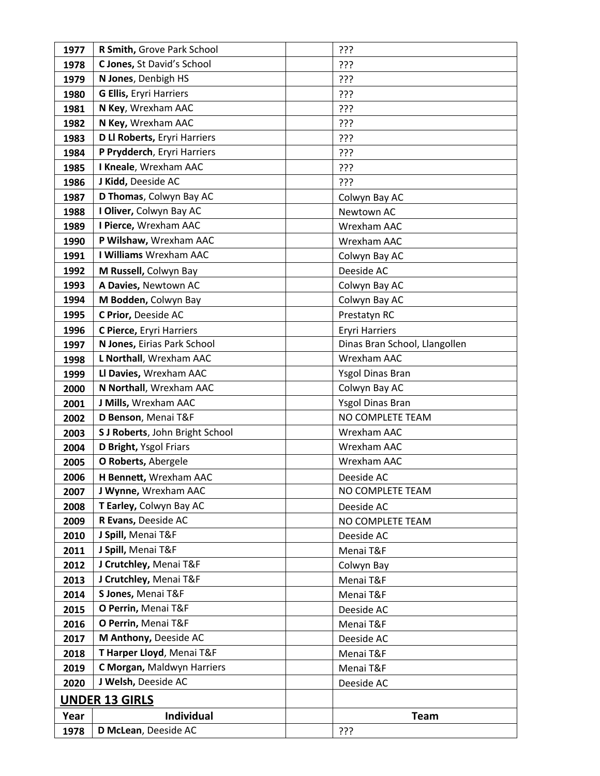| 1977                  | R Smith, Grove Park School          | ???                           |
|-----------------------|-------------------------------------|-------------------------------|
| 1978                  | C Jones, St David's School          | ???                           |
| 1979                  | N Jones, Denbigh HS                 | ???                           |
| 1980                  | <b>G Ellis, Eryri Harriers</b>      | ???                           |
| 1981                  | N Key, Wrexham AAC                  | ???                           |
| 1982                  | N Key, Wrexham AAC                  | ???                           |
| 1983                  | <b>D Ll Roberts, Eryri Harriers</b> | ???                           |
| 1984                  | P Prydderch, Eryri Harriers         | ???                           |
| 1985                  | I Kneale, Wrexham AAC               | ???                           |
| 1986                  | J Kidd, Deeside AC                  | ???                           |
| 1987                  | D Thomas, Colwyn Bay AC             | Colwyn Bay AC                 |
| 1988                  | I Oliver, Colwyn Bay AC             | Newtown AC                    |
| 1989                  | I Pierce, Wrexham AAC               | Wrexham AAC                   |
| 1990                  | P Wilshaw, Wrexham AAC              | Wrexham AAC                   |
| 1991                  | I Williams Wrexham AAC              | Colwyn Bay AC                 |
| 1992                  | M Russell, Colwyn Bay               | Deeside AC                    |
| 1993                  | A Davies, Newtown AC                | Colwyn Bay AC                 |
| 1994                  | M Bodden, Colwyn Bay                | Colwyn Bay AC                 |
| 1995                  | C Prior, Deeside AC                 | Prestatyn RC                  |
| 1996                  | C Pierce, Eryri Harriers            | <b>Eryri Harriers</b>         |
| 1997                  | N Jones, Eirias Park School         | Dinas Bran School, Llangollen |
| 1998                  | L Northall, Wrexham AAC             | Wrexham AAC                   |
| 1999                  | Ll Davies, Wrexham AAC              | Ysgol Dinas Bran              |
| 2000                  | N Northall, Wrexham AAC             | Colwyn Bay AC                 |
| 2001                  | J Mills, Wrexham AAC                | Ysgol Dinas Bran              |
| 2002                  | D Benson, Menai T&F                 | NO COMPLETE TEAM              |
| 2003                  | S J Roberts, John Bright School     | Wrexham AAC                   |
| 2004                  | D Bright, Ysgol Friars              | Wrexham AAC                   |
| 2005                  | O Roberts, Abergele                 | Wrexham AAC                   |
| 2006                  | H Bennett, Wrexham AAC              | Deeside AC                    |
| 2007                  | J Wynne, Wrexham AAC                | NO COMPLETE TEAM              |
| 2008                  | T Earley, Colwyn Bay AC             | Deeside AC                    |
| 2009                  | R Evans, Deeside AC                 | NO COMPLETE TEAM              |
| 2010                  | J Spill, Menai T&F                  | Deeside AC                    |
| 2011                  | J Spill, Menai T&F                  | Menai T&F                     |
| 2012                  | J Crutchley, Menai T&F              | Colwyn Bay                    |
| 2013                  | J Crutchley, Menai T&F              | Menai T&F                     |
| 2014                  | S Jones, Menai T&F                  | Menai T&F                     |
| 2015                  | O Perrin, Menai T&F                 | Deeside AC                    |
| 2016                  | O Perrin, Menai T&F                 | Menai T&F                     |
| 2017                  | M Anthony, Deeside AC               | Deeside AC                    |
| 2018                  | T Harper Lloyd, Menai T&F           | Menai T&F                     |
| 2019                  | C Morgan, Maldwyn Harriers          | Menai T&F                     |
| 2020                  | J Welsh, Deeside AC                 | Deeside AC                    |
| <b>UNDER 13 GIRLS</b> |                                     |                               |
| Year                  | <b>Individual</b>                   | <b>Team</b>                   |
| 1978                  | D McLean, Deeside AC                | ???                           |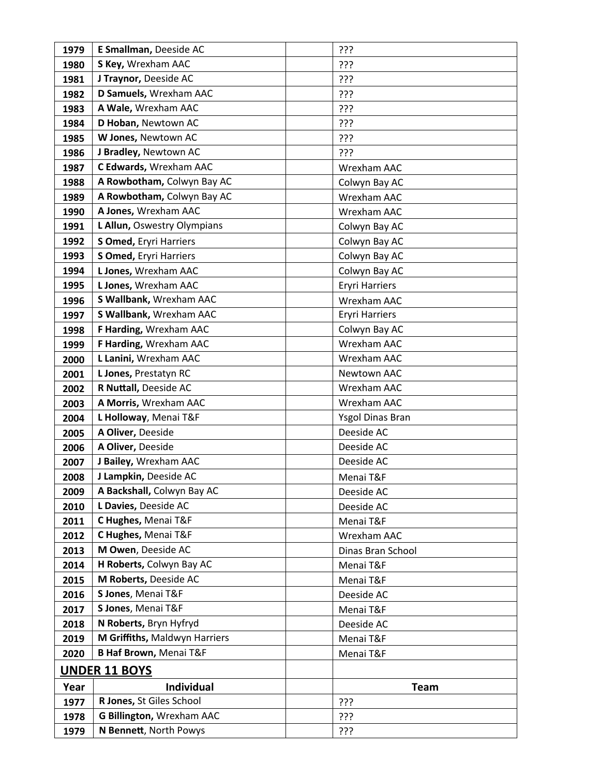| 1979 | E Smallman, Deeside AC            | ???                   |
|------|-----------------------------------|-----------------------|
| 1980 | S Key, Wrexham AAC                | ???                   |
| 1981 | J Traynor, Deeside AC             | ???                   |
| 1982 | D Samuels, Wrexham AAC            | ???                   |
| 1983 | A Wale, Wrexham AAC               | ???                   |
| 1984 | D Hoban, Newtown AC               | ???                   |
| 1985 | W Jones, Newtown AC               | ???                   |
| 1986 | J Bradley, Newtown AC             | ???                   |
| 1987 | C Edwards, Wrexham AAC            | Wrexham AAC           |
| 1988 | A Rowbotham, Colwyn Bay AC        | Colwyn Bay AC         |
| 1989 | A Rowbotham, Colwyn Bay AC        | Wrexham AAC           |
| 1990 | A Jones, Wrexham AAC              | Wrexham AAC           |
| 1991 | L Allun, Oswestry Olympians       | Colwyn Bay AC         |
| 1992 | S Omed, Eryri Harriers            | Colwyn Bay AC         |
| 1993 | S Omed, Eryri Harriers            | Colwyn Bay AC         |
| 1994 | L Jones, Wrexham AAC              | Colwyn Bay AC         |
| 1995 | L Jones, Wrexham AAC              | <b>Eryri Harriers</b> |
| 1996 | S Wallbank, Wrexham AAC           | Wrexham AAC           |
| 1997 | S Wallbank, Wrexham AAC           | <b>Eryri Harriers</b> |
| 1998 | F Harding, Wrexham AAC            | Colwyn Bay AC         |
| 1999 | F Harding, Wrexham AAC            | Wrexham AAC           |
| 2000 | L Lanini, Wrexham AAC             | Wrexham AAC           |
| 2001 | L Jones, Prestatyn RC             | Newtown AAC           |
| 2002 | R Nuttall, Deeside AC             | Wrexham AAC           |
| 2003 | A Morris, Wrexham AAC             | Wrexham AAC           |
| 2004 | L Holloway, Menai T&F             | Ysgol Dinas Bran      |
| 2005 | A Oliver, Deeside                 | Deeside AC            |
| 2006 | A Oliver, Deeside                 | Deeside AC            |
| 2007 | J Bailey, Wrexham AAC             | Deeside AC            |
| 2008 | J Lampkin, Deeside AC             | Menai T&F             |
| 2009 | A Backshall, Colwyn Bay AC        | Deeside AC            |
| 2010 | L Davies, Deeside AC              | Deeside AC            |
| 2011 | C Hughes, Menai T&F               | Menai T&F             |
| 2012 | C Hughes, Menai T&F               | Wrexham AAC           |
| 2013 | M Owen, Deeside AC                | Dinas Bran School     |
| 2014 | H Roberts, Colwyn Bay AC          | Menai T&F             |
| 2015 | M Roberts, Deeside AC             | Menai T&F             |
| 2016 | S Jones, Menai T&F                | Deeside AC            |
| 2017 | S Jones, Menai T&F                | Menai T&F             |
| 2018 | N Roberts, Bryn Hyfryd            | Deeside AC            |
| 2019 | M Griffiths, Maldwyn Harriers     | Menai T&F             |
| 2020 | <b>B Haf Brown, Menai T&amp;F</b> | Menai T&F             |
|      | <b>UNDER 11 BOYS</b>              |                       |
| Year | Individual                        | <b>Team</b>           |
| 1977 | R Jones, St Giles School          | ???                   |
| 1978 | G Billington, Wrexham AAC         | ???                   |
| 1979 | N Bennett, North Powys            | ַרְרְךָ               |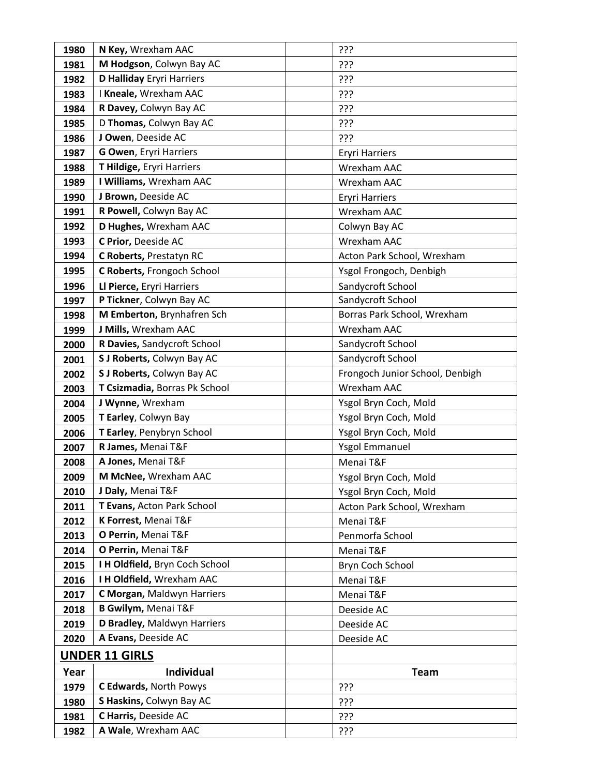| 1980 | N Key, Wrexham AAC               | ???                             |
|------|----------------------------------|---------------------------------|
| 1981 | M Hodgson, Colwyn Bay AC         | ???                             |
| 1982 | <b>D Halliday Eryri Harriers</b> | ???                             |
| 1983 | I Kneale, Wrexham AAC            | ???                             |
| 1984 | R Davey, Colwyn Bay AC           | ???                             |
| 1985 | D Thomas, Colwyn Bay AC          | ???                             |
| 1986 | J Owen, Deeside AC               | ???                             |
| 1987 | <b>G Owen, Eryri Harriers</b>    | <b>Eryri Harriers</b>           |
| 1988 | T Hildige, Eryri Harriers        | <b>Wrexham AAC</b>              |
| 1989 | I Williams, Wrexham AAC          | Wrexham AAC                     |
| 1990 | J Brown, Deeside AC              | <b>Eryri Harriers</b>           |
| 1991 | R Powell, Colwyn Bay AC          | Wrexham AAC                     |
| 1992 | D Hughes, Wrexham AAC            | Colwyn Bay AC                   |
| 1993 | C Prior, Deeside AC              | Wrexham AAC                     |
| 1994 | C Roberts, Prestatyn RC          | Acton Park School, Wrexham      |
| 1995 | C Roberts, Frongoch School       | Ysgol Frongoch, Denbigh         |
| 1996 | Ll Pierce, Eryri Harriers        | Sandycroft School               |
| 1997 | P Tickner, Colwyn Bay AC         | Sandycroft School               |
| 1998 | M Emberton, Brynhafren Sch       | Borras Park School, Wrexham     |
| 1999 | J Mills, Wrexham AAC             | Wrexham AAC                     |
| 2000 | R Davies, Sandycroft School      | Sandycroft School               |
| 2001 | S J Roberts, Colwyn Bay AC       | Sandycroft School               |
| 2002 | S J Roberts, Colwyn Bay AC       | Frongoch Junior School, Denbigh |
| 2003 | T Csizmadia, Borras Pk School    | Wrexham AAC                     |
| 2004 | J Wynne, Wrexham                 | Ysgol Bryn Coch, Mold           |
| 2005 | T Earley, Colwyn Bay             | Ysgol Bryn Coch, Mold           |
| 2006 | T Earley, Penybryn School        | Ysgol Bryn Coch, Mold           |
| 2007 | R James, Menai T&F               | <b>Ysgol Emmanuel</b>           |
| 2008 | A Jones, Menai T&F               | Menai T&F                       |
| 2009 | M McNee, Wrexham AAC             | Ysgol Bryn Coch, Mold           |
| 2010 | J Daly, Menai T&F                | Ysgol Bryn Coch, Mold           |
| 2011 | T Evans, Acton Park School       | Acton Park School, Wrexham      |
| 2012 | K Forrest, Menai T&F             | Menai T&F                       |
| 2013 | O Perrin, Menai T&F              | Penmorfa School                 |
| 2014 | O Perrin, Menai T&F              | Menai T&F                       |
| 2015 | I H Oldfield, Bryn Coch School   | Bryn Coch School                |
| 2016 | I H Oldfield, Wrexham AAC        | Menai T&F                       |
| 2017 | C Morgan, Maldwyn Harriers       | Menai T&F                       |
| 2018 | <b>B Gwilym, Menai T&amp;F</b>   | Deeside AC                      |
| 2019 | D Bradley, Maldwyn Harriers      | Deeside AC                      |
| 2020 | A Evans, Deeside AC              | Deeside AC                      |
|      | <b>UNDER 11 GIRLS</b>            |                                 |
| Year | Individual                       | <b>Team</b>                     |
| 1979 | C Edwards, North Powys           | ???                             |
| 1980 | S Haskins, Colwyn Bay AC         | ???                             |
| 1981 | C Harris, Deeside AC             | ???                             |
| 1982 | A Wale, Wrexham AAC              | ???                             |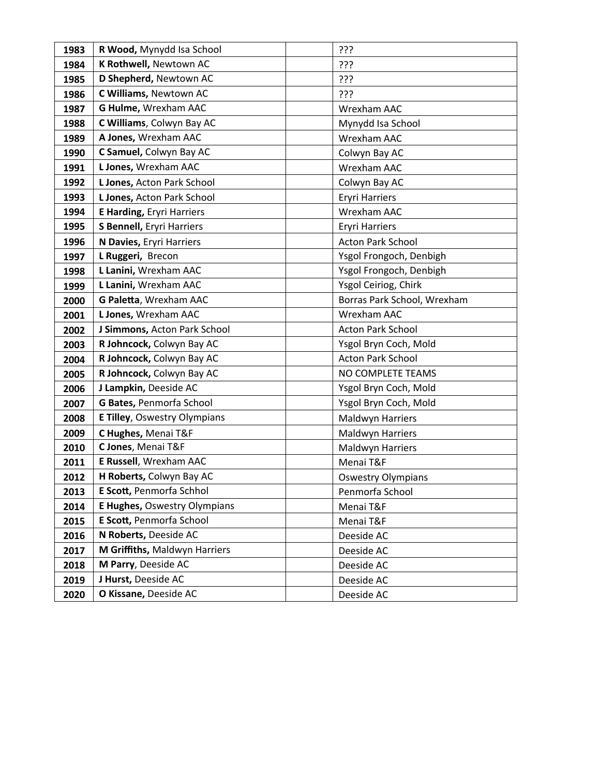| 1983 | R Wood, Mynydd Isa School           | ???                         |
|------|-------------------------------------|-----------------------------|
| 1984 | K Rothwell, Newtown AC              | ???                         |
| 1985 | D Shepherd, Newtown AC              | ַרְרְךָ                     |
| 1986 | C Williams, Newtown AC              | ???                         |
| 1987 | G Hulme, Wrexham AAC                | Wrexham AAC                 |
| 1988 | C Williams, Colwyn Bay AC           | Mynydd Isa School           |
| 1989 | A Jones, Wrexham AAC                | Wrexham AAC                 |
| 1990 | C Samuel, Colwyn Bay AC             | Colwyn Bay AC               |
| 1991 | L Jones, Wrexham AAC                | Wrexham AAC                 |
| 1992 | L Jones, Acton Park School          | Colwyn Bay AC               |
| 1993 | L Jones, Acton Park School          | <b>Eryri Harriers</b>       |
| 1994 | <b>E Harding, Eryri Harriers</b>    | Wrexham AAC                 |
| 1995 | S Bennell, Eryri Harriers           | <b>Eryri Harriers</b>       |
| 1996 | N Davies, Eryri Harriers            | <b>Acton Park School</b>    |
| 1997 | L Ruggeri, Brecon                   | Ysgol Frongoch, Denbigh     |
| 1998 | L Lanini, Wrexham AAC               | Ysgol Frongoch, Denbigh     |
| 1999 | L Lanini, Wrexham AAC               | Ysgol Ceiriog, Chirk        |
| 2000 | G Paletta, Wrexham AAC              | Borras Park School, Wrexham |
| 2001 | L Jones, Wrexham AAC                | Wrexham AAC                 |
| 2002 | J Simmons, Acton Park School        | <b>Acton Park School</b>    |
| 2003 | R Johncock, Colwyn Bay AC           | Ysgol Bryn Coch, Mold       |
| 2004 | R Johncock, Colwyn Bay AC           | <b>Acton Park School</b>    |
| 2005 | R Johncock, Colwyn Bay AC           | NO COMPLETE TEAMS           |
| 2006 | J Lampkin, Deeside AC               | Ysgol Bryn Coch, Mold       |
| 2007 | G Bates, Penmorfa School            | Ysgol Bryn Coch, Mold       |
| 2008 | <b>E Tilley, Oswestry Olympians</b> | Maldwyn Harriers            |
| 2009 | C Hughes, Menai T&F                 | Maldwyn Harriers            |
| 2010 | C Jones, Menai T&F                  | Maldwyn Harriers            |
| 2011 | E Russell, Wrexham AAC              | Menai T&F                   |
| 2012 | H Roberts, Colwyn Bay AC            | <b>Oswestry Olympians</b>   |
| 2013 | E Scott, Penmorfa Schhol            | Penmorfa School             |
| 2014 | E Hughes, Oswestry Olympians        | Menai T&F                   |
| 2015 | E Scott, Penmorfa School            | Menai T&F                   |
| 2016 | N Roberts, Deeside AC               | Deeside AC                  |
| 2017 | M Griffiths, Maldwyn Harriers       | Deeside AC                  |
| 2018 | M Parry, Deeside AC                 | Deeside AC                  |
| 2019 | J Hurst, Deeside AC                 | Deeside AC                  |
| 2020 | O Kissane, Deeside AC               | Deeside AC                  |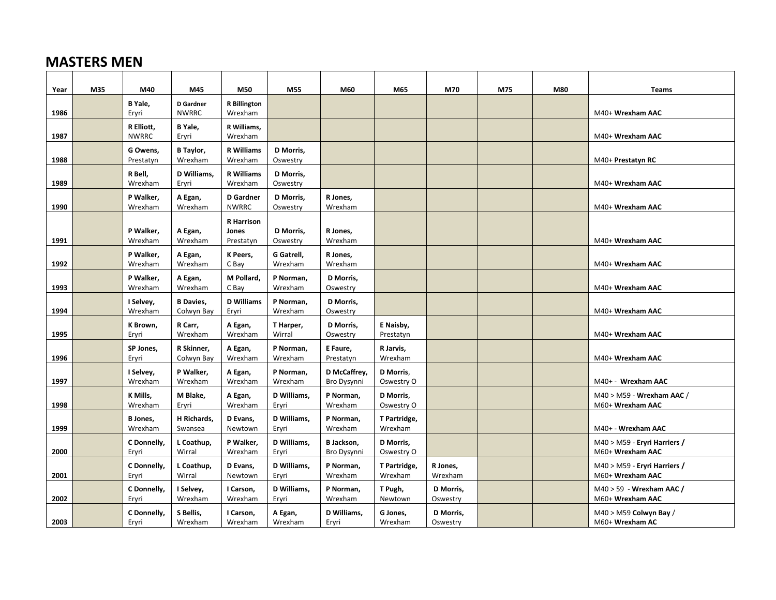## **MASTERS MEN**

| Year | M35 | M40                        | M45                      | M50                          | M55                   | M60                   | M65                    | M70       | M75 | M80 | <b>Teams</b>                                |
|------|-----|----------------------------|--------------------------|------------------------------|-----------------------|-----------------------|------------------------|-----------|-----|-----|---------------------------------------------|
|      |     | B Yale,                    | D Gardner                | <b>R</b> Billington          |                       |                       |                        |           |     |     |                                             |
| 1986 |     | Eryri                      | <b>NWRRC</b>             | Wrexham                      |                       |                       |                        |           |     |     | M40+ Wrexham AAC                            |
| 1987 |     | R Elliott,<br><b>NWRRC</b> | B Yale,                  | R Williams,<br>Wrexham       |                       |                       |                        |           |     |     | M40+ Wrexham AAC                            |
|      |     |                            | Eryri                    |                              |                       |                       |                        |           |     |     |                                             |
| 1988 |     | G Owens,<br>Prestatyn      | B Taylor,<br>Wrexham     | <b>R</b> Williams<br>Wrexham | D Morris,<br>Oswestry |                       |                        |           |     |     | M40+ Prestatyn RC                           |
|      |     |                            | D Williams,              | <b>R</b> Williams            |                       |                       |                        |           |     |     |                                             |
| 1989 |     | R Bell,<br>Wrexham         | Eryri                    | Wrexham                      | D Morris,<br>Oswestry |                       |                        |           |     |     | M40+ Wrexham AAC                            |
|      |     | P Walker,                  | A Egan,                  | <b>D</b> Gardner             | D Morris,             | R Jones,              |                        |           |     |     |                                             |
| 1990 |     | Wrexham                    | Wrexham                  | <b>NWRRC</b>                 | Oswestry              | Wrexham               |                        |           |     |     | M40+ Wrexham AAC                            |
|      |     |                            |                          | <b>R</b> Harrison            |                       |                       |                        |           |     |     |                                             |
|      |     | P Walker,                  | A Egan,                  | Jones                        | D Morris,             | R Jones,              |                        |           |     |     |                                             |
| 1991 |     | Wrexham                    | Wrexham                  | Prestatyn                    | Oswestry              | Wrexham               |                        |           |     |     | M40+ Wrexham AAC                            |
|      |     | P Walker,                  | A Egan,                  | K Peers,                     | G Gatrell,            | R Jones,              |                        |           |     |     |                                             |
| 1992 |     | Wrexham                    | Wrexham                  | C Bay                        | Wrexham               | Wrexham               |                        |           |     |     | M40+ Wrexham AAC                            |
|      |     | P Walker,                  | A Egan,                  | M Pollard,                   | P Norman,             | D Morris,             |                        |           |     |     |                                             |
| 1993 |     | Wrexham                    | Wrexham                  | C Bay                        | Wrexham               | Oswestry              |                        |           |     |     | M40+ Wrexham AAC                            |
|      |     | I Selvey,                  | <b>B</b> Davies,         | <b>D</b> Williams            | P Norman,             | D Morris,             |                        |           |     |     |                                             |
| 1994 |     | Wrexham                    | Colwyn Bay               | Eryri                        | Wrexham               | Oswestry              |                        |           |     |     | M40+ Wrexham AAC                            |
| 1995 |     | K Brown,<br>Eryri          | R Carr,<br>Wrexham       | A Egan,<br>Wrexham           | T Harper,<br>Wirral   | D Morris,<br>Oswestry | E Naisby,<br>Prestatyn |           |     |     | M40+ Wrexham AAC                            |
|      |     |                            |                          |                              |                       |                       |                        |           |     |     |                                             |
| 1996 |     | SP Jones,<br>Eryri         | R Skinner,<br>Colwyn Bay | A Egan,<br>Wrexham           | P Norman,<br>Wrexham  | E Faure,<br>Prestatyn | R Jarvis,<br>Wrexham   |           |     |     | M40+ Wrexham AAC                            |
|      |     | I Selvey,                  | P Walker,                | A Egan,                      | P Norman,             | D McCaffrey,          | D Morris,              |           |     |     |                                             |
| 1997 |     | Wrexham                    | Wrexham                  | Wrexham                      | Wrexham               | Bro Dysynni           | Oswestry O             |           |     |     | M40+ - Wrexham AAC                          |
|      |     | K Mills,                   | M Blake,                 | A Egan,                      | D Williams,           | P Norman,             | D Morris,              |           |     |     | M40 > M59 - Wrexham AAC /                   |
| 1998 |     | Wrexham                    | Eryri                    | Wrexham                      | Ervri                 | Wrexham               | Oswestry O             |           |     |     | M60+ Wrexham AAC                            |
|      |     | B Jones,                   | H Richards,              | D Evans,                     | D Williams,           | P Norman,             | T Partridge,           |           |     |     |                                             |
| 1999 |     | Wrexham                    | Swansea                  | Newtown                      | Eryri                 | Wrexham               | Wrexham                |           |     |     | M40+ - Wrexham AAC                          |
|      |     | C Donnelly,                | L Coathup,               | P Walker,                    | D Williams,           | B Jackson,            | D Morris,              |           |     |     | M40 > M59 - Eryri Harriers /                |
| 2000 |     | Eryri                      | Wirral                   | Wrexham                      | Ervri                 | Bro Dysynni           | Oswestry O             |           |     |     | M60+ Wrexham AAC                            |
|      |     | C Donnelly,                | L Coathup,               | D Evans,                     | D Williams,           | P Norman,             | T Partridge,           | R Jones,  |     |     | M40 > M59 - Eryri Harriers /                |
| 2001 |     | Eryri                      | Wirral                   | Newtown                      | Ervri                 | Wrexham               | Wrexham                | Wrexham   |     |     | M60+ Wrexham AAC                            |
|      |     | C Donnelly,                | I Selvey,                | I Carson,                    | D Williams,           | P Norman,             | T Pugh,                | D Morris, |     |     | M40 > 59 - Wrexham AAC /                    |
| 2002 |     | Eryri                      | Wrexham                  | Wrexham                      | Eryri                 | Wrexham               | Newtown                | Oswestry  |     |     | M60+ Wrexham AAC                            |
| 2003 |     | C Donnelly,                | S Bellis,                | I Carson,                    | A Egan,               | D Williams,           | G Jones,               | D Morris, |     |     | $M40 > M59$ Colwyn Bay /<br>M60+ Wrexham AC |
|      |     | Eryri                      | Wrexham                  | Wrexham                      | Wrexham               | Eryri                 | Wrexham                | Oswestry  |     |     |                                             |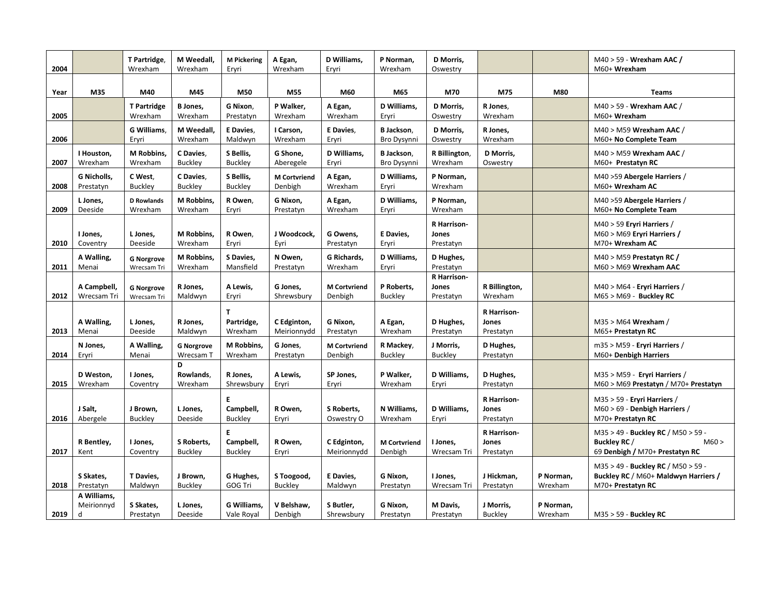| 2004 |                                | T Partridge,<br>Wrexham          | M Weedall,<br>Wrexham          | <b>M Pickering</b><br>Eryri       | A Egan,<br>Wrexham             | D Williams,<br>Eryri           | P Norman,<br>Wrexham           | D Morris,<br>Oswestry             |                                   |                      | M40 > 59 - Wrexham AAC /<br>M60+ Wrexham                                                        |
|------|--------------------------------|----------------------------------|--------------------------------|-----------------------------------|--------------------------------|--------------------------------|--------------------------------|-----------------------------------|-----------------------------------|----------------------|-------------------------------------------------------------------------------------------------|
| Year | M35                            | M40                              | M45                            | M50                               | M55                            | M60                            | M65                            | M70                               | M75                               | M80                  | <b>Teams</b>                                                                                    |
| 2005 |                                | <b>T</b> Partridge<br>Wrexham    | B Jones,<br>Wrexham            | G Nixon,<br>Prestatyn             | P Walker,<br>Wrexham           | A Egan,<br>Wrexham             | D Williams,<br>Eryri           | D Morris,<br>Oswestry             | R Jones,<br>Wrexham               |                      | M40 > 59 - Wrexham AAC /<br>M60+ Wrexham                                                        |
| 2006 |                                | G Williams.<br>Eryri             | M Weedall.<br>Wrexham          | E Davies.<br>Maldwyn              | I Carson,<br>Wrexham           | E Davies.<br>Eryri             | B Jackson,<br>Bro Dysynni      | D Morris,<br>Oswestry             | R Jones,<br>Wrexham               |                      | M40 > M59 Wrexham AAC /<br>M60+ No Complete Team                                                |
| 2007 | I Houston,<br>Wrexham          | M Robbins,<br>Wrexham            | C Davies,<br><b>Buckley</b>    | S Bellis,<br><b>Buckley</b>       | G Shone,<br>Aberegele          | D Williams,<br>Ervri           | B Jackson,<br>Bro Dysynni      | R Billington,<br>Wrexham          | D Morris,<br>Oswestry             |                      | M40 > M59 Wrexham AAC /<br>M60+ Prestatyn RC                                                    |
| 2008 | G Nicholls,<br>Prestatyn       | C West,<br><b>Buckley</b>        | C Davies,<br><b>Buckley</b>    | S Bellis,<br><b>Buckley</b>       | <b>M</b> Cortvriend<br>Denbigh | A Egan,<br>Wrexham             | D Williams,<br>Eryri           | P Norman,<br>Wrexham              |                                   |                      | M40 > 59 Abergele Harriers /<br>M60+ Wrexham AC                                                 |
| 2009 | L Jones,<br>Deeside            | <b>D</b> Rowlands<br>Wrexham     | M Robbins,<br>Wrexham          | R Owen,<br>Eryri                  | G Nixon,<br>Prestatyn          | A Egan,<br>Wrexham             | D Williams,<br>Eryri           | P Norman,<br>Wrexham              |                                   |                      | M40 > 59 Abergele Harriers /<br>M60+ No Complete Team                                           |
| 2010 | I Jones,<br>Coventry           | L Jones,<br>Deeside              | M Robbins,<br>Wrexham          | R Owen,<br>Eryri                  | J Woodcock,<br>Eyri            | G Owens,<br>Prestatyn          | E Davies,<br>Eryri             | R Harrison-<br>Jones<br>Prestatyn |                                   |                      | M40 > 59 Eryri Harriers /<br>M60 > M69 Eryri Harriers /<br>M70+ Wrexham AC                      |
| 2011 | A Walling,<br>Menai            | <b>G Norgrove</b><br>Wrecsam Tri | M Robbins,<br>Wrexham          | S Davies,<br>Mansfield            | N Owen,<br>Prestatyn           | G Richards,<br>Wrexham         | D Williams,<br>Eryri           | D Hughes,<br>Prestatyn            |                                   |                      | $M40 > M59$ Prestatyn RC /<br>M60 > M69 Wrexham AAC                                             |
| 2012 | A Campbell,<br>Wrecsam Tri     | <b>G Norgrove</b><br>Wrecsam Tri | R Jones,<br>Maldwyn            | A Lewis,<br>Ervri                 | G Jones,<br>Shrewsbury         | <b>M</b> Cortvriend<br>Denbigh | P Roberts,<br>Buckley          | R Harrison-<br>Jones<br>Prestatyn | R Billington,<br>Wrexham          |                      | M40 > M64 - Eryri Harriers /<br>M65 > M69 - Buckley RC                                          |
| 2013 | A Walling,<br>Menai            | L Jones,<br>Deeside              | R Jones,<br>Maldwyn            | T.<br>Partridge,<br>Wrexham       | C Edginton,<br>Meirionnydd     | G Nixon,<br>Prestatyn          | A Egan,<br>Wrexham             | D Hughes,<br>Prestatyn            | R Harrison-<br>Jones<br>Prestatyn |                      | M35 > M64 Wrexham /<br>M65+ Prestatyn RC                                                        |
| 2014 | N Jones,<br>Eryri              | A Walling,<br>Menai              | <b>G Norgrove</b><br>Wrecsam T | M Robbins,<br>Wrexham             | G Jones,<br>Prestatyn          | <b>M</b> Cortvriend<br>Denbigh | R Mackey,<br><b>Buckley</b>    | J Morris,<br><b>Buckley</b>       | D Hughes,<br>Prestatyn            |                      | m35 > M59 - Eryri Harriers /<br>M60+ Denbigh Harriers                                           |
| 2015 | D Weston,<br>Wrexham           | I Jones,<br>Coventry             | D<br>Rowlands,<br>Wrexham      | R Jones,<br>Shrewsbury            | A Lewis,<br>Eryri              | SP Jones,<br>Eryri             | P Walker,<br>Wrexham           | D Williams,<br>Eryri              | D Hughes,<br>Prestatyn            |                      | M35 > M59 - Eryri Harriers /<br>M60 > M69 Prestatyn / M70+ Prestatyn                            |
| 2016 | J Salt,<br>Abergele            | J Brown,<br><b>Buckley</b>       | L Jones,<br>Deeside            | E.<br>Campbell,<br><b>Buckley</b> | R Owen,<br>Eryri               | S Roberts,<br>Oswestry O       | N Williams,<br>Wrexham         | D Williams,<br>Eryri              | R Harrison-<br>Jones<br>Prestatyn |                      | M35 > 59 - Eryri Harriers /<br>$M60 > 69$ - Denbigh Harriers /<br>M70+ Prestatyn RC             |
| 2017 | R Bentley,<br>Kent             | I Jones,<br>Coventry             | S Roberts,<br><b>Buckley</b>   | E.<br>Campbell,<br><b>Buckley</b> | R Owen,<br>Eryri               | C Edginton,<br>Meirionnydd     | <b>M</b> Cortvriend<br>Denbigh | I Jones,<br>Wrecsam Tri           | R Harrison-<br>Jones<br>Prestatyn |                      | M35 > 49 - Buckley RC / M50 > 59 -<br>Buckley RC /<br>M60 ><br>69 Denbigh / M70+ Prestatyn RC   |
| 2018 | S Skates,<br>Prestatyn         | T Davies,<br>Maldwyn             | J Brown,<br><b>Buckley</b>     | G Hughes,<br>GOG Tri              | S Toogood,<br><b>Buckley</b>   | E Davies,<br>Maldwyn           | G Nixon,<br>Prestatyn          | I Jones,<br>Wrecsam Tri           | J Hickman,<br>Prestatyn           | P Norman,<br>Wrexham | M35 > 49 - Buckley RC / M50 > 59 -<br>Buckley RC / M60+ Maldwyn Harriers /<br>M70+ Prestatyn RC |
| 2019 | A Williams,<br>Meirionnyd<br>d | S Skates,<br>Prestatyn           | L Jones,<br>Deeside            | G Williams,<br>Vale Royal         | V Belshaw,<br>Denbigh          | S Butler,<br>Shrewsbury        | G Nixon,<br>Prestatyn          | M Davis,<br>Prestatyn             | J Morris,<br><b>Buckley</b>       | P Norman,<br>Wrexham | $M35 > 59$ - Buckley RC                                                                         |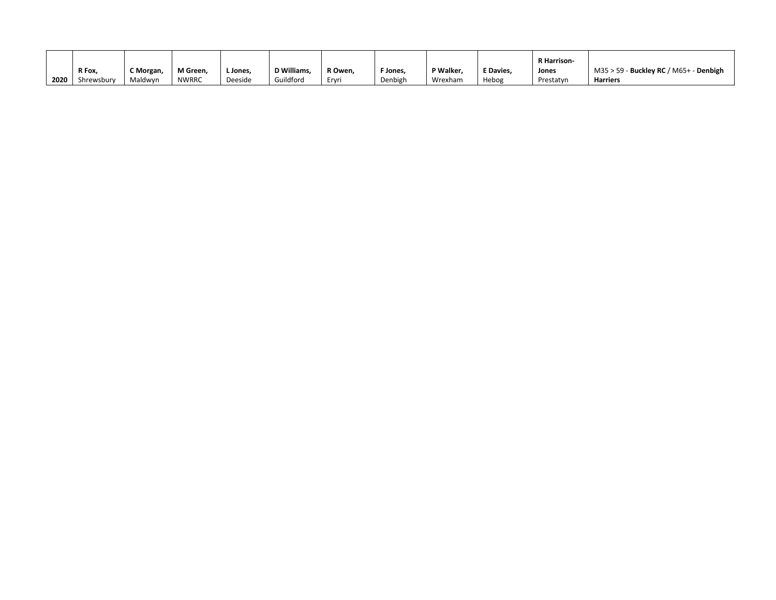|      |            |           |              |         |                   |         |          |           |                  | <b>R</b> Harrison |                                               |
|------|------------|-----------|--------------|---------|-------------------|---------|----------|-----------|------------------|-------------------|-----------------------------------------------|
|      | R Fox,     | C Morgan, | M Green,     | L Jones | <b>D</b> Williams | R Owen, | F Jones, | P Walker. | <b>E</b> Davies. | Jones             | $M35 > 59$ - Buckley RC / M65+ -<br>- Denbigh |
| 2020 | Shrewsbury | Maldwyn   | <b>NWRRC</b> | Deeside | Guildford         | Ervri   | Denbigh  | Wrexham   | Hebog            | Prestatyn         | <b>Harriers</b>                               |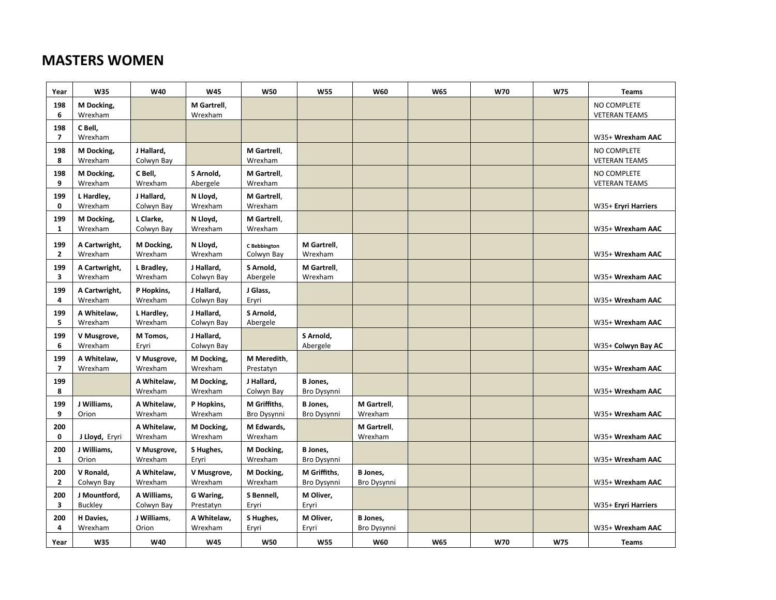## **MASTERS WOMEN**

| Year                  | W35                            | W40                       | W45                      | <b>W50</b>                        | <b>W55</b>                     | W60                            | <b>W65</b> | W70        | W75        | <b>Teams</b>                        |
|-----------------------|--------------------------------|---------------------------|--------------------------|-----------------------------------|--------------------------------|--------------------------------|------------|------------|------------|-------------------------------------|
| 198<br>6              | M Docking,<br>Wrexham          |                           | M Gartrell,<br>Wrexham   |                                   |                                |                                |            |            |            | NO COMPLETE<br><b>VETERAN TEAMS</b> |
| 198<br>$\overline{7}$ | C Bell,<br>Wrexham             |                           |                          |                                   |                                |                                |            |            |            | W35+ Wrexham AAC                    |
| 198<br>8              | M Docking,<br>Wrexham          | J Hallard,<br>Colwyn Bay  |                          | M Gartrell,<br>Wrexham            |                                |                                |            |            |            | NO COMPLETE<br><b>VETERAN TEAMS</b> |
| 198<br>9              | M Docking,<br>Wrexham          | C Bell,<br>Wrexham        | S Arnold,<br>Abergele    | M Gartrell,<br>Wrexham            |                                |                                |            |            |            | NO COMPLETE<br><b>VETERAN TEAMS</b> |
| 199<br>$\mathbf 0$    | L Hardley,<br>Wrexham          | J Hallard,<br>Colwyn Bay  | N Lloyd,<br>Wrexham      | M Gartrell,<br>Wrexham            |                                |                                |            |            |            | W35+ Eryri Harriers                 |
| 199<br>1              | M Docking,<br>Wrexham          | L Clarke,<br>Colwyn Bay   | N Lloyd,<br>Wrexham      | M Gartrell,<br>Wrexham            |                                |                                |            |            |            | W35+ Wrexham AAC                    |
| 199<br>$\overline{2}$ | A Cartwright,<br>Wrexham       | M Docking,<br>Wrexham     | N Lloyd,<br>Wrexham      | <b>C</b> Bebbington<br>Colwyn Bay | M Gartrell,<br>Wrexham         |                                |            |            |            | W35+ Wrexham AAC                    |
| 199<br>3              | A Cartwright,<br>Wrexham       | L Bradley,<br>Wrexham     | J Hallard,<br>Colwyn Bay | S Arnold,<br>Abergele             | M Gartrell,<br>Wrexham         |                                |            |            |            | W35+ Wrexham AAC                    |
| 199<br>4              | A Cartwright,<br>Wrexham       | P Hopkins,<br>Wrexham     | J Hallard,<br>Colwyn Bay | J Glass,<br>Eryri                 |                                |                                |            |            |            | W35+ Wrexham AAC                    |
| 199<br>5              | A Whitelaw,<br>Wrexham         | L Hardley,<br>Wrexham     | J Hallard,<br>Colwyn Bay | S Arnold,<br>Abergele             |                                |                                |            |            |            | W35+ Wrexham AAC                    |
| 199<br>6              | V Musgrove,<br>Wrexham         | M Tomos,<br>Eryri         | J Hallard,<br>Colwyn Bay |                                   | S Arnold,<br>Abergele          |                                |            |            |            | W35+ Colwyn Bay AC                  |
| 199<br>$\overline{7}$ | A Whitelaw,<br>Wrexham         | V Musgrove,<br>Wrexham    | M Docking,<br>Wrexham    | M Meredith,<br>Prestatyn          |                                |                                |            |            |            | W35+ Wrexham AAC                    |
| 199<br>8              |                                | A Whitelaw,<br>Wrexham    | M Docking,<br>Wrexham    | J Hallard,<br>Colwyn Bay          | <b>B</b> Jones,<br>Bro Dysynni |                                |            |            |            | W35+ Wrexham AAC                    |
| 199<br>9              | J Williams.<br>Orion           | A Whitelaw,<br>Wrexham    | P Hopkins,<br>Wrexham    | M Griffiths,<br>Bro Dysynni       | <b>B</b> Jones.<br>Bro Dysynni | M Gartrell,<br>Wrexham         |            |            |            | W35+ Wrexham AAC                    |
| 200<br>$\mathbf 0$    | J Lloyd, Eryri                 | A Whitelaw,<br>Wrexham    | M Docking,<br>Wrexham    | M Edwards,<br>Wrexham             |                                | M Gartrell,<br>Wrexham         |            |            |            | W35+ Wrexham AAC                    |
| 200<br>$\mathbf{1}$   | J Williams,<br>Orion           | V Musgrove,<br>Wrexham    | S Hughes,<br>Eryri       | M Docking,<br>Wrexham             | <b>B</b> Jones,<br>Bro Dysynni |                                |            |            |            | W35+ Wrexham AAC                    |
| 200<br>$\overline{2}$ | V Ronald,<br>Colwyn Bay        | A Whitelaw,<br>Wrexham    | V Musgrove,<br>Wrexham   | M Docking,<br>Wrexham             | M Griffiths,<br>Bro Dysynni    | <b>B</b> Jones,<br>Bro Dysynni |            |            |            | W35+ Wrexham AAC                    |
| 200<br>3              | J Mountford.<br><b>Buckley</b> | A Williams,<br>Colwyn Bay | G Waring,<br>Prestatyn   | S Bennell,<br>Eryri               | M Oliver,<br>Eryri             |                                |            |            |            | W35+ Eryri Harriers                 |
| 200<br>4              | H Davies,<br>Wrexham           | J Williams,<br>Orion      | A Whitelaw,<br>Wrexham   | S Hughes,<br>Eryri                | M Oliver,<br>Eryri             | <b>B</b> Jones,<br>Bro Dysynni |            |            |            | W35+ Wrexham AAC                    |
| Year                  | W35                            | W40                       | <b>W45</b>               | <b>W50</b>                        | <b>W55</b>                     | W60                            | <b>W65</b> | <b>W70</b> | <b>W75</b> | <b>Teams</b>                        |